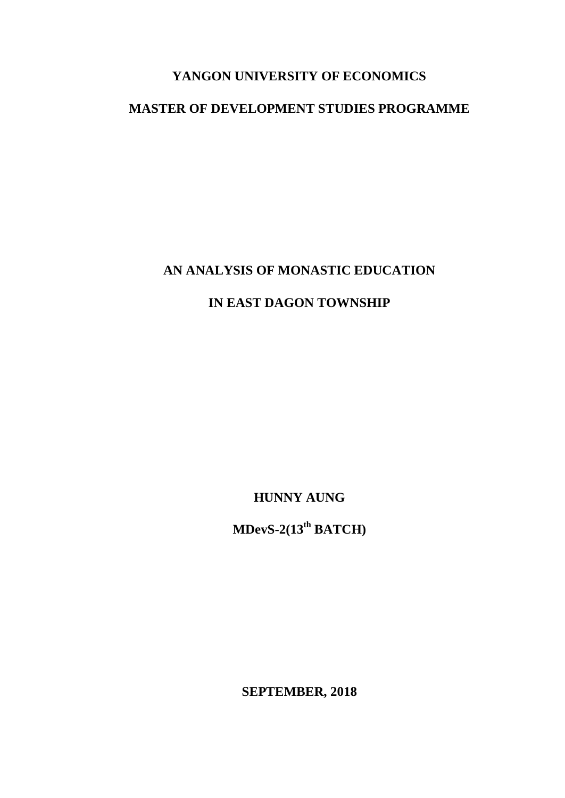## **YANGON UNIVERSITY OF ECONOMICS**

## **MASTER OF DEVELOPMENT STUDIES PROGRAMME**

## **AN ANALYSIS OF MONASTIC EDUCATION**

## **IN EAST DAGON TOWNSHIP**

**HUNNY AUNG**

**MDevS-2(13th BATCH)**

**SEPTEMBER, 2018**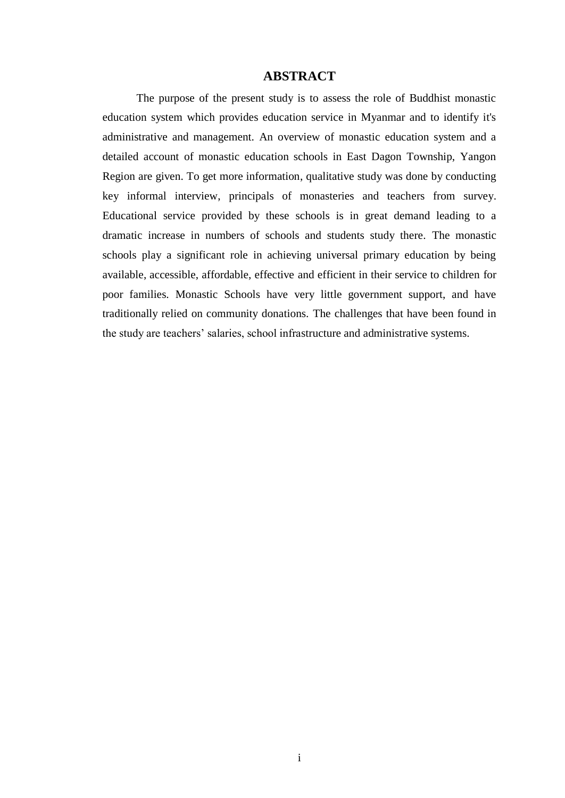### **ABSTRACT**

The purpose of the present study is to assess the role of Buddhist monastic education system which provides education service in Myanmar and to identify it's administrative and management. An overview of monastic education system and a detailed account of monastic education schools in East Dagon Township, Yangon Region are given. To get more information, qualitative study was done by conducting key informal interview, principals of monasteries and teachers from survey. Educational service provided by these schools is in great demand leading to a dramatic increase in numbers of schools and students study there. The monastic schools play a significant role in achieving universal primary education by being available, accessible, affordable, effective and efficient in their service to children for poor families. Monastic Schools have very little government support, and have traditionally relied on community donations. The challenges that have been found in the study are teachers' salaries, school infrastructure and administrative systems.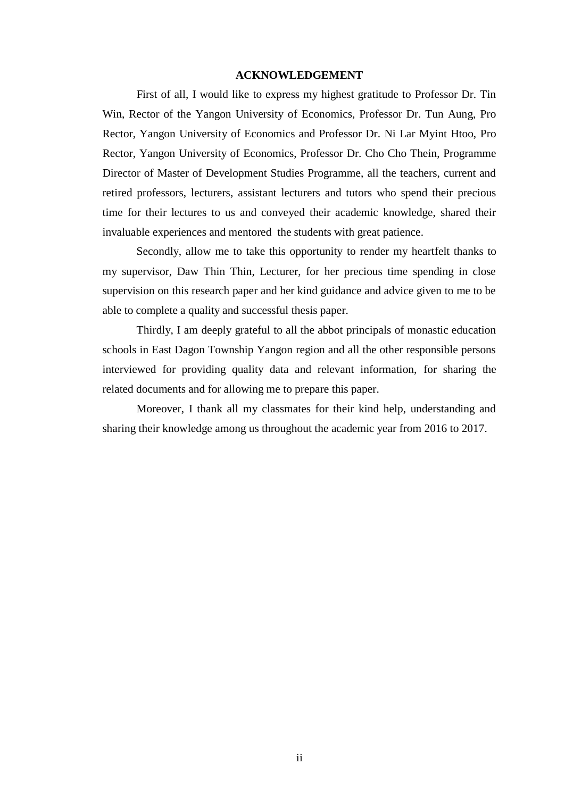#### **ACKNOWLEDGEMENT**

First of all, I would like to express my highest gratitude to Professor Dr. Tin Win, Rector of the Yangon University of Economics, Professor Dr. Tun Aung, Pro Rector, Yangon University of Economics and Professor Dr. Ni Lar Myint Htoo, Pro Rector, Yangon University of Economics, Professor Dr. Cho Cho Thein, Programme Director of Master of Development Studies Programme, all the teachers, current and retired professors, lecturers, assistant lecturers and tutors who spend their precious time for their lectures to us and conveyed their academic knowledge, shared their invaluable experiences and mentored the students with great patience.

Secondly, allow me to take this opportunity to render my heartfelt thanks to my supervisor, Daw Thin Thin, Lecturer, for her precious time spending in close supervision on this research paper and her kind guidance and advice given to me to be able to complete a quality and successful thesis paper.

Thirdly, I am deeply grateful to all the abbot principals of monastic education schools in East Dagon Township Yangon region and all the other responsible persons interviewed for providing quality data and relevant information, for sharing the related documents and for allowing me to prepare this paper.

Moreover, I thank all my classmates for their kind help, understanding and sharing their knowledge among us throughout the academic year from 2016 to 2017.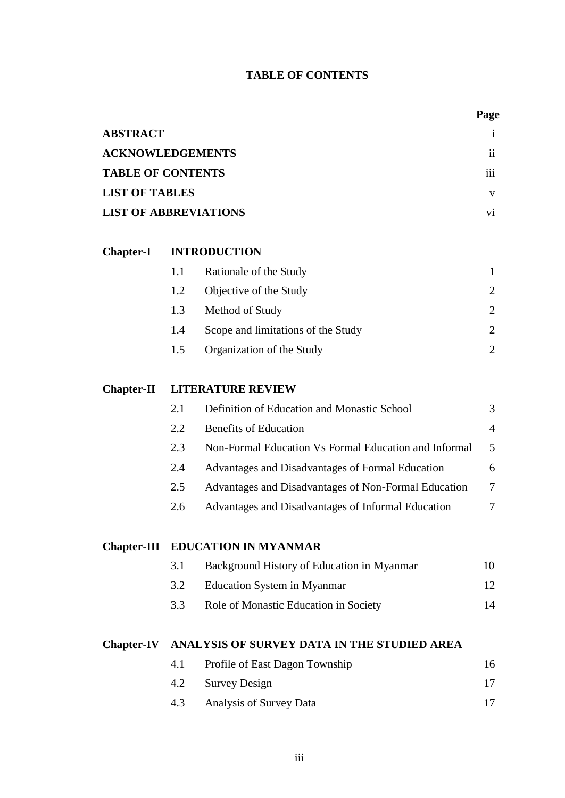## **TABLE OF CONTENTS**

|                                               |     |                                                       | Page            |  |
|-----------------------------------------------|-----|-------------------------------------------------------|-----------------|--|
| <b>ABSTRACT</b>                               |     |                                                       | $\mathbf{1}$    |  |
| <b>ACKNOWLEDGEMENTS</b>                       |     |                                                       | $\mathbf{ii}$   |  |
| <b>TABLE OF CONTENTS</b>                      |     |                                                       | 111             |  |
| <b>LIST OF TABLES</b>                         |     |                                                       | V               |  |
| <b>LIST OF ABBREVIATIONS</b>                  |     |                                                       | $\overline{vi}$ |  |
| <b>Chapter-I</b>                              |     | <b>INTRODUCTION</b>                                   |                 |  |
|                                               | 1.1 | Rationale of the Study                                | 1               |  |
|                                               | 1.2 | Objective of the Study                                | $\overline{2}$  |  |
|                                               | 1.3 | Method of Study                                       | $\overline{2}$  |  |
|                                               | 1.4 | Scope and limitations of the Study                    | 2               |  |
|                                               | 1.5 | Organization of the Study                             | 2               |  |
| <b>LITERATURE REVIEW</b><br><b>Chapter-II</b> |     |                                                       |                 |  |
|                                               | 2.1 | Definition of Education and Monastic School           | 3               |  |
|                                               | 2.2 | <b>Benefits of Education</b>                          | 4               |  |
|                                               | 2.3 | Non-Formal Education Vs Formal Education and Informal | 5               |  |
|                                               | 2.4 | Advantages and Disadvantages of Formal Education      | 6               |  |
|                                               | 2.5 | Advantages and Disadvantages of Non-Formal Education  | 7               |  |
|                                               | 2.6 | Advantages and Disadvantages of Informal Education    | 7               |  |
| <b>Chapter-III</b>                            |     | EDUCATION IN MYANMAR                                  |                 |  |
|                                               | 3.1 | Background History of Education in Myanmar            | 10              |  |
|                                               | 3.2 | <b>Education System in Myanmar</b>                    | 12              |  |
|                                               | 3.3 | Role of Monastic Education in Society                 | 14              |  |
| <b>Chapter-IV</b>                             |     | ANALYSIS OF SURVEY DATA IN THE STUDIED AREA           |                 |  |
|                                               | 4.1 | Profile of East Dagon Township                        | 16              |  |
|                                               | 4.2 | <b>Survey Design</b>                                  | 17              |  |
|                                               | 4.3 | Analysis of Survey Data                               | 17              |  |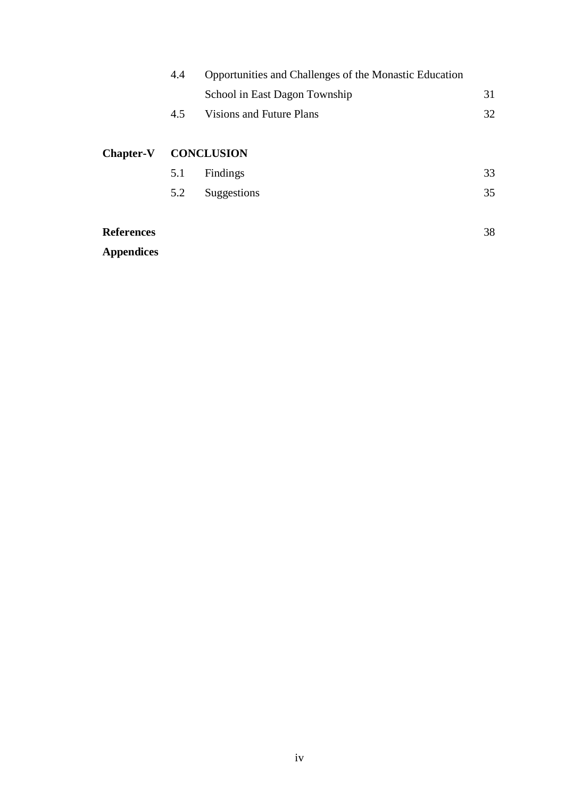| Opportunities and Challenges of the Monastic Education<br>4.4 |                   |                               |    |  |  |
|---------------------------------------------------------------|-------------------|-------------------------------|----|--|--|
|                                                               |                   | School in East Dagon Township | 31 |  |  |
|                                                               | 4.5               | Visions and Future Plans      | 32 |  |  |
|                                                               |                   |                               |    |  |  |
| <b>Chapter-V</b>                                              | <b>CONCLUSION</b> |                               |    |  |  |
|                                                               | 5.1               | Findings                      | 33 |  |  |
|                                                               | 5.2               | Suggestions                   | 35 |  |  |
|                                                               |                   |                               |    |  |  |
| <b>References</b>                                             |                   |                               | 38 |  |  |
| <b>Appendices</b>                                             |                   |                               |    |  |  |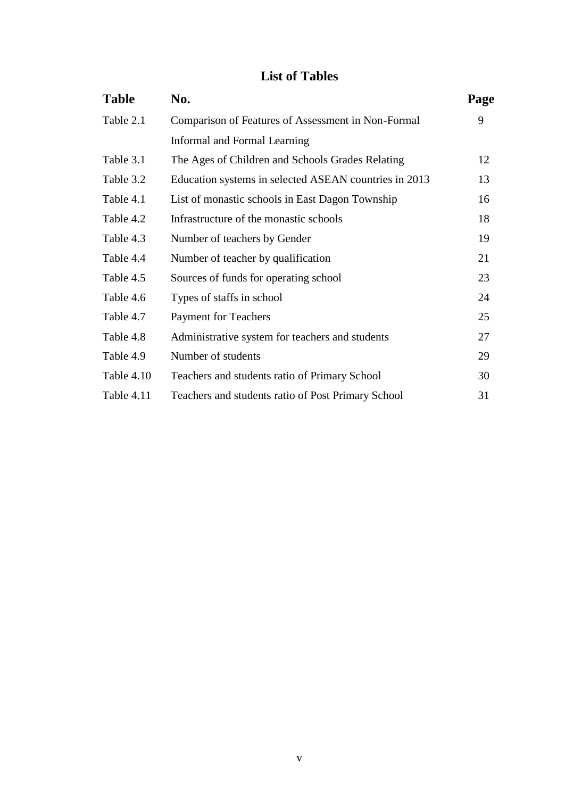## **List of Tables**

| <b>Table</b> | No.                                                   | Page |
|--------------|-------------------------------------------------------|------|
| Table 2.1    | Comparison of Features of Assessment in Non-Formal    | 9    |
|              | Informal and Formal Learning                          |      |
| Table 3.1    | The Ages of Children and Schools Grades Relating      | 12   |
| Table 3.2    | Education systems in selected ASEAN countries in 2013 | 13   |
| Table 4.1    | List of monastic schools in East Dagon Township       | 16   |
| Table 4.2    | Infrastructure of the monastic schools                | 18   |
| Table 4.3    | Number of teachers by Gender                          | 19   |
| Table 4.4    | Number of teacher by qualification                    | 21   |
| Table 4.5    | Sources of funds for operating school                 | 23   |
| Table 4.6    | Types of staffs in school                             | 24   |
| Table 4.7    | <b>Payment for Teachers</b>                           | 25   |
| Table 4.8    | Administrative system for teachers and students       | 27   |
| Table 4.9    | Number of students                                    | 29   |
| Table 4.10   | Teachers and students ratio of Primary School         | 30   |
| Table 4.11   | Teachers and students ratio of Post Primary School    | 31   |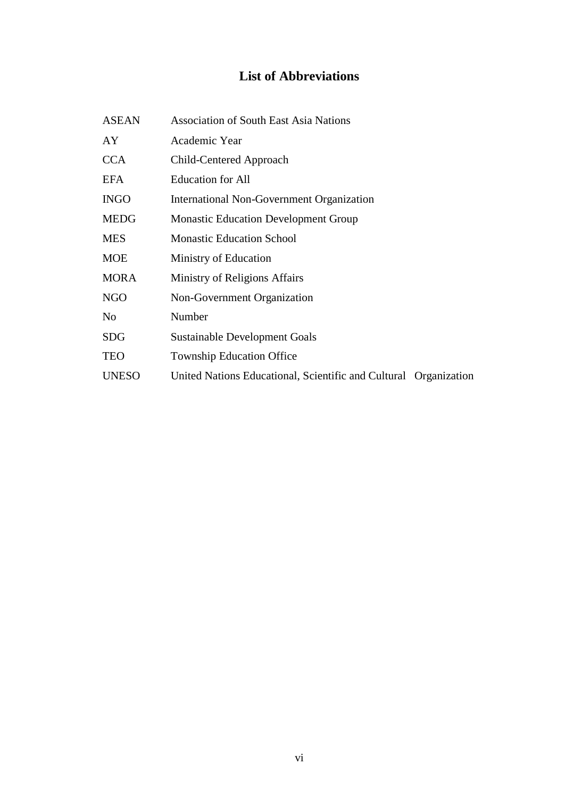# **List of Abbreviations**

| <b>ASEAN</b> | <b>Association of South East Asia Nations</b>                    |
|--------------|------------------------------------------------------------------|
| AY           | Academic Year                                                    |
| <b>CCA</b>   | Child-Centered Approach                                          |
| <b>EFA</b>   | <b>Education for All</b>                                         |
| <b>INGO</b>  | International Non-Government Organization                        |
| <b>MEDG</b>  | <b>Monastic Education Development Group</b>                      |
| <b>MES</b>   | <b>Monastic Education School</b>                                 |
| <b>MOE</b>   | Ministry of Education                                            |
| <b>MORA</b>  | Ministry of Religions Affairs                                    |
| NGO          | Non-Government Organization                                      |
| No           | Number                                                           |
| SDG          | Sustainable Development Goals                                    |
| <b>TEO</b>   | <b>Township Education Office</b>                                 |
| <b>UNESO</b> | United Nations Educational, Scientific and Cultural Organization |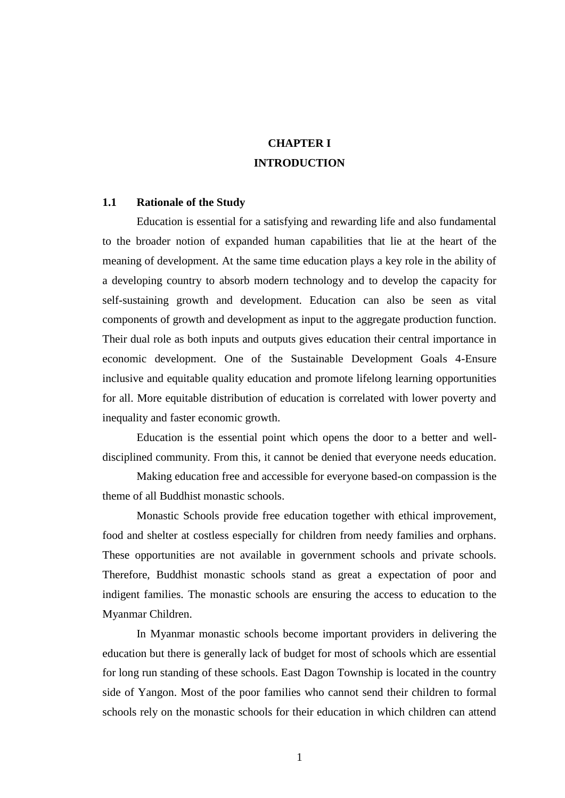## **CHAPTER I INTRODUCTION**

### **1.1 Rationale of the Study**

Education is essential for a satisfying and rewarding life and also fundamental to the broader notion of expanded human capabilities that lie at the heart of the meaning of development. At the same time education plays a key role in the ability of a developing country to absorb modern technology and to develop the capacity for self-sustaining growth and development. Education can also be seen as vital components of growth and development as input to the aggregate production function. Their dual role as both inputs and outputs gives education their central importance in economic development. One of the Sustainable Development Goals 4-Ensure inclusive and equitable quality education and promote lifelong learning opportunities for all. More equitable distribution of education is correlated with lower poverty and inequality and faster economic growth.

Education is the essential point which opens the door to a better and welldisciplined community. From this, it cannot be denied that everyone needs education.

Making education free and accessible for everyone based-on compassion is the theme of all Buddhist monastic schools.

Monastic Schools provide free education together with ethical improvement, food and shelter at costless especially for children from needy families and orphans. These opportunities are not available in government schools and private schools. Therefore, Buddhist monastic schools stand as great a expectation of poor and indigent families. The monastic schools are ensuring the access to education to the Myanmar Children.

In Myanmar monastic schools become important providers in delivering the education but there is generally lack of budget for most of schools which are essential for long run standing of these schools. East Dagon Township is located in the country side of Yangon. Most of the poor families who cannot send their children to formal schools rely on the monastic schools for their education in which children can attend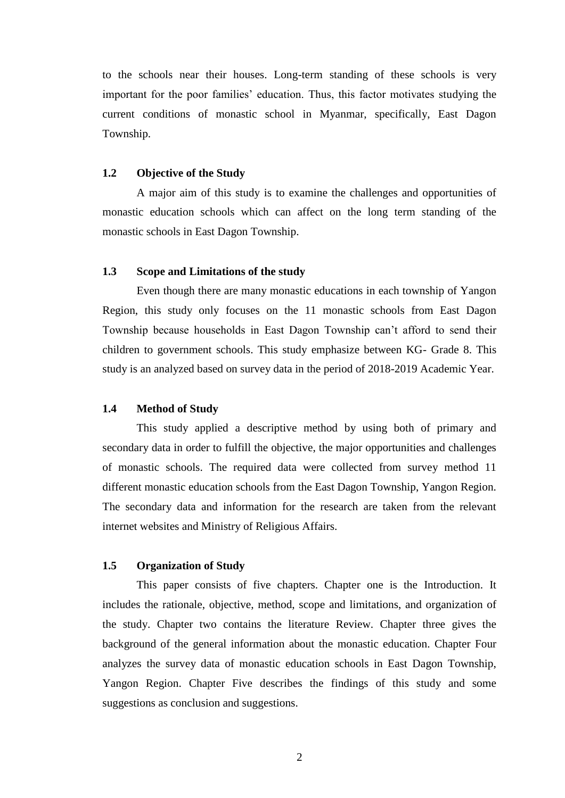to the schools near their houses. Long-term standing of these schools is very important for the poor families' education. Thus, this factor motivates studying the current conditions of monastic school in Myanmar, specifically, East Dagon Township.

#### **1.2 Objective of the Study**

A major aim of this study is to examine the challenges and opportunities of monastic education schools which can affect on the long term standing of the monastic schools in East Dagon Township.

#### **1.3 Scope and Limitations of the study**

Even though there are many monastic educations in each township of Yangon Region, this study only focuses on the 11 monastic schools from East Dagon Township because households in East Dagon Township can"t afford to send their children to government schools. This study emphasize between KG- Grade 8. This study is an analyzed based on survey data in the period of 2018-2019 Academic Year.

#### **1.4 Method of Study**

This study applied a descriptive method by using both of primary and secondary data in order to fulfill the objective, the major opportunities and challenges of monastic schools. The required data were collected from survey method 11 different monastic education schools from the East Dagon Township, Yangon Region. The secondary data and information for the research are taken from the relevant internet websites and Ministry of Religious Affairs.

### **1.5 Organization of Study**

This paper consists of five chapters. Chapter one is the Introduction. It includes the rationale, objective, method, scope and limitations, and organization of the study. Chapter two contains the literature Review. Chapter three gives the background of the general information about the monastic education. Chapter Four analyzes the survey data of monastic education schools in East Dagon Township, Yangon Region. Chapter Five describes the findings of this study and some suggestions as conclusion and suggestions.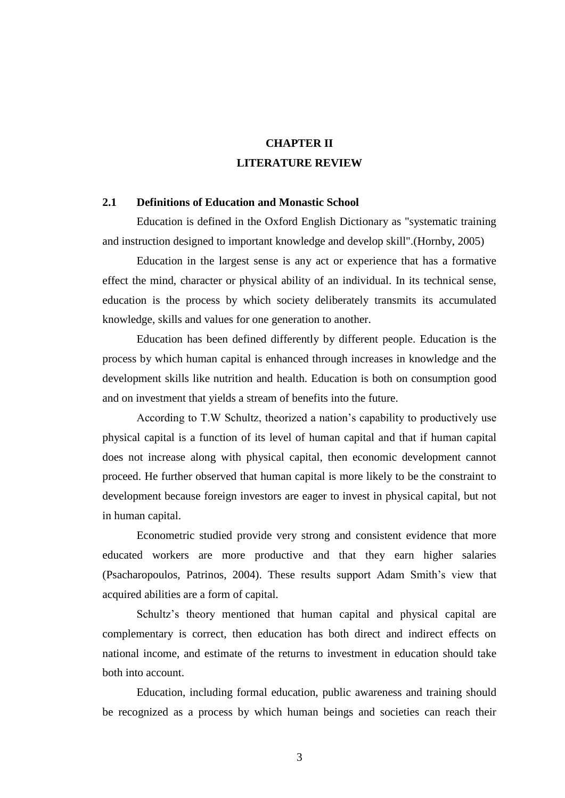## **CHAPTER II LITERATURE REVIEW**

#### **2.1 Definitions of Education and Monastic School**

Education is defined in the Oxford English Dictionary as "systematic training and instruction designed to important knowledge and develop skill".(Hornby, 2005)

Education in the largest sense is any act or experience that has a formative effect the mind, character or physical ability of an individual. In its technical sense, education is the process by which society deliberately transmits its accumulated knowledge, skills and values for one generation to another.

Education has been defined differently by different people. Education is the process by which human capital is enhanced through increases in knowledge and the development skills like nutrition and health. Education is both on consumption good and on investment that yields a stream of benefits into the future.

According to T.W Schultz, theorized a nation"s capability to productively use physical capital is a function of its level of human capital and that if human capital does not increase along with physical capital, then economic development cannot proceed. He further observed that human capital is more likely to be the constraint to development because foreign investors are eager to invest in physical capital, but not in human capital.

Econometric studied provide very strong and consistent evidence that more educated workers are more productive and that they earn higher salaries (Psacharopoulos, Patrinos, 2004). These results support Adam Smith"s view that acquired abilities are a form of capital.

Schultz"s theory mentioned that human capital and physical capital are complementary is correct, then education has both direct and indirect effects on national income, and estimate of the returns to investment in education should take both into account.

Education, including formal education, public awareness and training should be recognized as a process by which human beings and societies can reach their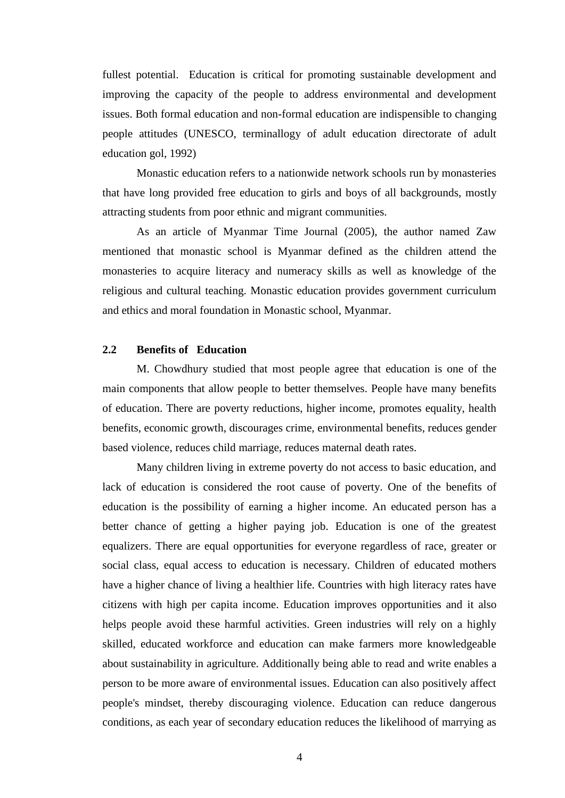fullest potential. Education is critical for promoting sustainable development and improving the capacity of the people to address environmental and development issues. Both formal education and non-formal education are indispensible to changing people attitudes (UNESCO, terminallogy of adult education directorate of adult education gol, 1992)

Monastic education refers to a nationwide network schools run by monasteries that have long provided free education to girls and boys of all backgrounds, mostly attracting students from poor ethnic and migrant communities.

As an article of Myanmar Time Journal (2005), the author named Zaw mentioned that monastic school is Myanmar defined as the children attend the monasteries to acquire literacy and numeracy skills as well as knowledge of the religious and cultural teaching. Monastic education provides government curriculum and ethics and moral foundation in Monastic school, Myanmar.

## **2.2 Benefits of Education**

M. Chowdhury studied that most people agree that education is one of the main components that allow people to better themselves. People have many benefits of education. There are poverty reductions, higher income, promotes equality, health benefits, economic growth, discourages crime, environmental benefits, reduces gender based violence, reduces child marriage, reduces maternal death rates.

Many children living in extreme poverty do not access to basic education, and lack of education is considered the root cause of poverty. One of the benefits of education is the possibility of earning a higher income. An educated person has a better chance of getting a higher paying job. Education is one of the greatest equalizers. There are equal opportunities for everyone regardless of race, greater or social class, equal access to education is necessary. Children of educated mothers have a higher chance of living a healthier life. Countries with high literacy rates have citizens with high per capita income. Education improves opportunities and it also helps people avoid these harmful activities. Green industries will rely on a highly skilled, educated workforce and education can make farmers more knowledgeable about sustainability in agriculture. Additionally being able to read and write enables a person to be more aware of environmental issues. Education can also positively affect people's mindset, thereby discouraging violence. Education can reduce dangerous conditions, as each year of secondary education reduces the likelihood of marrying as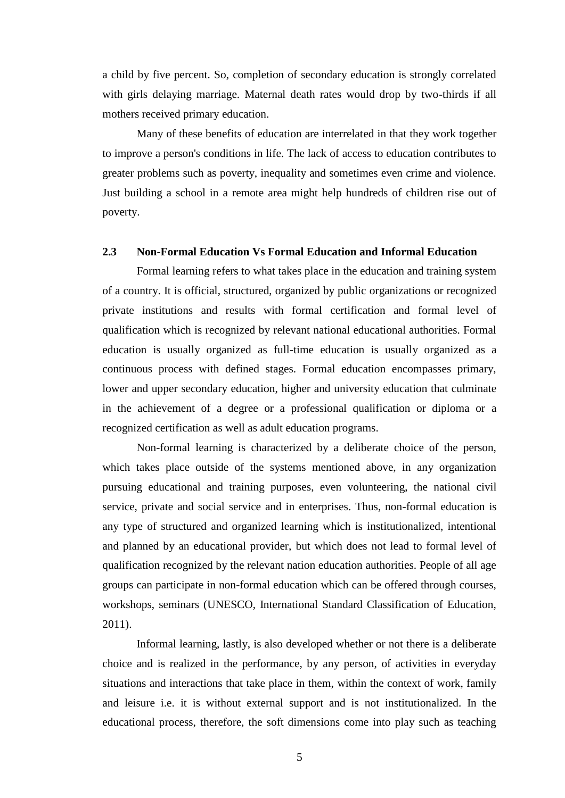a child by five percent. So, completion of secondary education is strongly correlated with girls delaying marriage. Maternal death rates would drop by two-thirds if all mothers received primary education.

Many of these benefits of education are interrelated in that they work together to improve a person's conditions in life. The lack of access to education contributes to greater problems such as poverty, inequality and sometimes even crime and violence. Just building a school in a remote area might help hundreds of children rise out of poverty.

#### **2.3 Non-Formal Education Vs Formal Education and Informal Education**

Formal learning refers to what takes place in the education and training system of a country. It is official, structured, organized by public organizations or recognized private institutions and results with formal certification and formal level of qualification which is recognized by relevant national educational authorities. Formal education is usually organized as full-time education is usually organized as a continuous process with defined stages. Formal education encompasses primary, lower and upper secondary education, higher and university education that culminate in the achievement of a degree or a professional qualification or diploma or a recognized certification as well as adult education programs.

Non-formal learning is characterized by a deliberate choice of the person, which takes place outside of the systems mentioned above, in any organization pursuing educational and training purposes, even volunteering, the national civil service, private and social service and in enterprises. Thus, non-formal education is any type of structured and organized learning which is institutionalized, intentional and planned by an educational provider, but which does not lead to formal level of qualification recognized by the relevant nation education authorities. People of all age groups can participate in non-formal education which can be offered through courses, workshops, seminars (UNESCO, International Standard Classification of Education, 2011).

Informal learning, lastly, is also developed whether or not there is a deliberate choice and is realized in the performance, by any person, of activities in everyday situations and interactions that take place in them, within the context of work, family and leisure i.e. it is without external support and is not institutionalized. In the educational process, therefore, the soft dimensions come into play such as teaching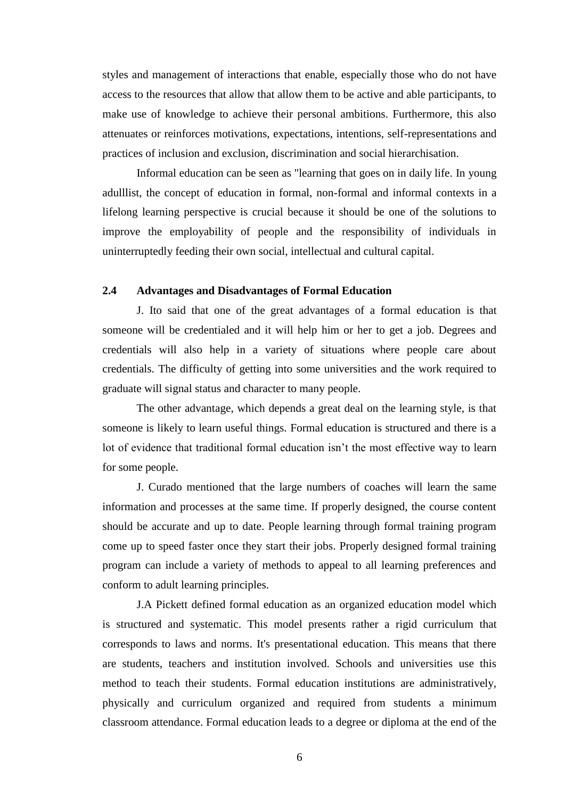styles and management of interactions that enable, especially those who do not have access to the resources that allow that allow them to be active and able participants, to make use of knowledge to achieve their personal ambitions. Furthermore, this also attenuates or reinforces motivations, expectations, intentions, self-representations and practices of inclusion and exclusion, discrimination and social hierarchisation.

Informal education can be seen as "learning that goes on in daily life. In young adulllist, the concept of education in formal, non-formal and informal contexts in a lifelong learning perspective is crucial because it should be one of the solutions to improve the employability of people and the responsibility of individuals in uninterruptedly feeding their own social, intellectual and cultural capital.

#### **2.4 Advantages and Disadvantages of Formal Education**

J. Ito said that one of the great advantages of a formal education is that someone will be credentialed and it will help him or her to get a job. Degrees and credentials will also help in a variety of situations where people care about credentials. The difficulty of getting into some universities and the work required to graduate will signal status and character to many people.

The other advantage, which depends a great deal on the learning style, is that someone is likely to learn useful things. Formal education is structured and there is a lot of evidence that traditional formal education isn"t the most effective way to learn for some people.

J. Curado mentioned that the large numbers of coaches will learn the same information and processes at the same time. If properly designed, the course content should be accurate and up to date. People learning through formal training program come up to speed faster once they start their jobs. Properly designed formal training program can include a variety of methods to appeal to all learning preferences and conform to adult learning principles.

J.A Pickett defined formal education as an organized education model which is structured and systematic. This model presents rather a rigid curriculum that corresponds to laws and norms. It's presentational education. This means that there are students, teachers and institution involved. Schools and universities use this method to teach their students. Formal education institutions are administratively, physically and curriculum organized and required from students a minimum classroom attendance. Formal education leads to a degree or diploma at the end of the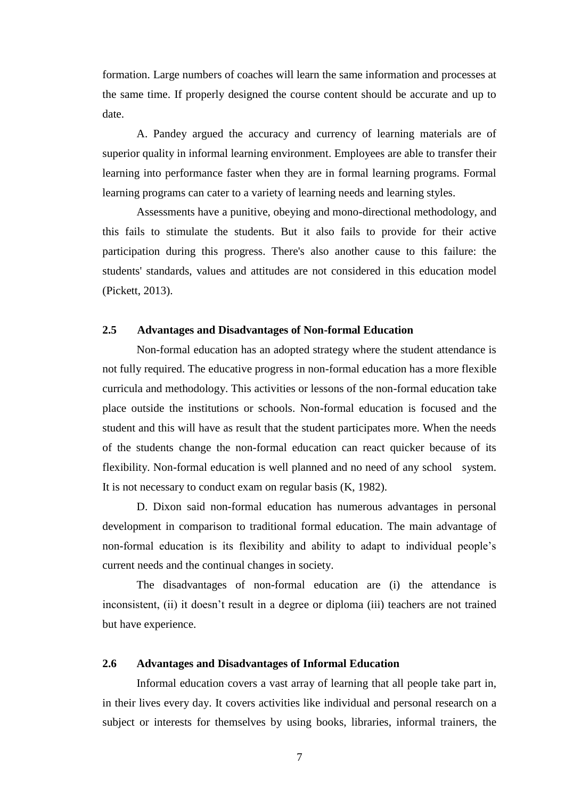formation. Large numbers of coaches will learn the same information and processes at the same time. If properly designed the course content should be accurate and up to date.

A. Pandey argued the accuracy and currency of learning materials are of superior quality in informal learning environment. Employees are able to transfer their learning into performance faster when they are in formal learning programs. Formal learning programs can cater to a variety of learning needs and learning styles.

Assessments have a punitive, obeying and mono-directional methodology, and this fails to stimulate the students. But it also fails to provide for their active participation during this progress. There's also another cause to this failure: the students' standards, values and attitudes are not considered in this education model (Pickett, 2013).

### **2.5 Advantages and Disadvantages of Non-formal Education**

Non-formal education has an adopted strategy where the student attendance is not fully required. The educative progress in non-formal education has a more flexible curricula and methodology. This activities or lessons of the non-formal education take place outside the institutions or schools. Non-formal education is focused and the student and this will have as result that the student participates more. When the needs of the students change the non-formal education can react quicker because of its flexibility. Non-formal education is well planned and no need of any school system. It is not necessary to conduct exam on regular basis (K, 1982).

D. Dixon said non-formal education has numerous advantages in personal development in comparison to traditional formal education. The main advantage of non-formal education is its flexibility and ability to adapt to individual people"s current needs and the continual changes in society.

The disadvantages of non-formal education are (i) the attendance is inconsistent, (ii) it doesn"t result in a degree or diploma (iii) teachers are not trained but have experience.

## **2.6 Advantages and Disadvantages of Informal Education**

Informal education covers a vast array of learning that all people take part in, in their lives every day. It covers activities like individual and personal research on a subject or interests for themselves by using books, libraries, informal trainers, the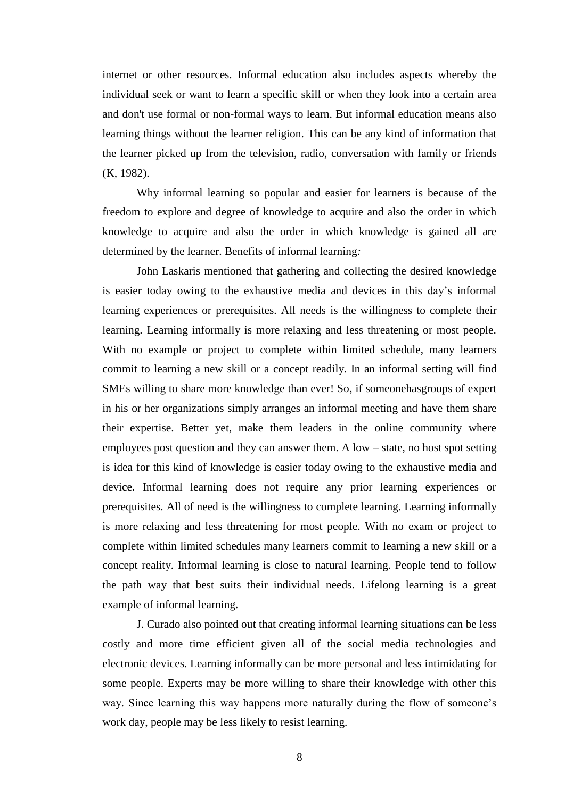internet or other resources. Informal education also includes aspects whereby the individual seek or want to learn a specific skill or when they look into a certain area and don't use formal or non-formal ways to learn. But informal education means also learning things without the learner religion. This can be any kind of information that the learner picked up from the television, radio, conversation with family or friends (K, 1982).

Why informal learning so popular and easier for learners is because of the freedom to explore and degree of knowledge to acquire and also the order in which knowledge to acquire and also the order in which knowledge is gained all are determined by the learner. Benefits of informal learning*:* 

John Laskaris mentioned that gathering and collecting the desired knowledge is easier today owing to the exhaustive media and devices in this day"s informal learning experiences or prerequisites. All needs is the willingness to complete their learning. Learning informally is more relaxing and less threatening or most people. With no example or project to complete within limited schedule, many learners commit to learning a new skill or a concept readily. In an informal setting will find SMEs willing to share more knowledge than ever! So, if someonehasgroups of expert in his or her organizations simply arranges an informal meeting and have them share their expertise. Better yet, make them leaders in the online community where employees post question and they can answer them. A low – state, no host spot setting is idea for this kind of knowledge is easier today owing to the exhaustive media and device. Informal learning does not require any prior learning experiences or prerequisites. All of need is the willingness to complete learning. Learning informally is more relaxing and less threatening for most people. With no exam or project to complete within limited schedules many learners commit to learning a new skill or a concept reality. Informal learning is close to natural learning. People tend to follow the path way that best suits their individual needs. Lifelong learning is a great example of informal learning.

J. Curado also pointed out that creating informal learning situations can be less costly and more time efficient given all of the social media technologies and electronic devices. Learning informally can be more personal and less intimidating for some people. Experts may be more willing to share their knowledge with other this way. Since learning this way happens more naturally during the flow of someone's work day, people may be less likely to resist learning.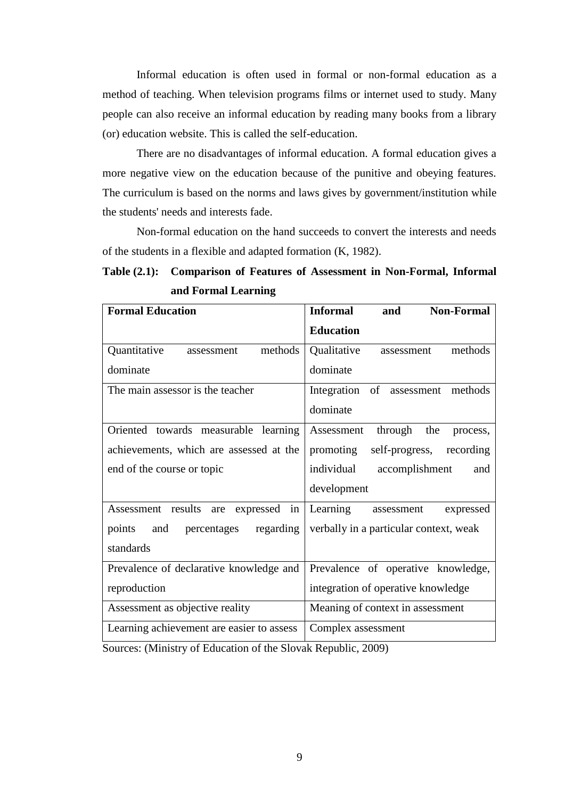Informal education is often used in formal or non-formal education as a method of teaching. When television programs films or internet used to study. Many people can also receive an informal education by reading many books from a library (or) education website. This is called the self-education.

There are no disadvantages of informal education. A formal education gives a more negative view on the education because of the punitive and obeying features. The curriculum is based on the norms and laws gives by government/institution while the students' needs and interests fade.

Non-formal education on the hand succeeds to convert the interests and needs of the students in a flexible and adapted formation (K, 1982).

## **Table (2.1): Comparison of Features of Assessment in Non-Formal, Informal and Formal Learning**

| <b>Formal Education</b>                   | <b>Informal</b><br><b>Non-Formal</b><br>and |
|-------------------------------------------|---------------------------------------------|
|                                           | <b>Education</b>                            |
| Quantitative<br>methods<br>assessment     | Qualitative<br>methods<br>assessment        |
| dominate                                  | dominate                                    |
| The main assessor is the teacher          | Integration of assessment methods           |
|                                           | dominate                                    |
| Oriented towards measurable learning      | through the<br>Assessment<br>process,       |
| achievements, which are assessed at the   | promoting<br>self-progress,<br>recording    |
| end of the course or topic                | individual<br>accomplishment<br>and         |
|                                           | development                                 |
| Assessment results are<br>in<br>expressed | Learning<br>expressed<br>assessment         |
| regarding<br>points<br>and<br>percentages | verbally in a particular context, weak      |
| standards                                 |                                             |
| Prevalence of declarative knowledge and   | Prevalence of operative knowledge,          |
| reproduction                              | integration of operative knowledge          |
| Assessment as objective reality           | Meaning of context in assessment            |
| Learning achievement are easier to assess | Complex assessment                          |

Sources: (Ministry of Education of the Slovak Republic, 2009)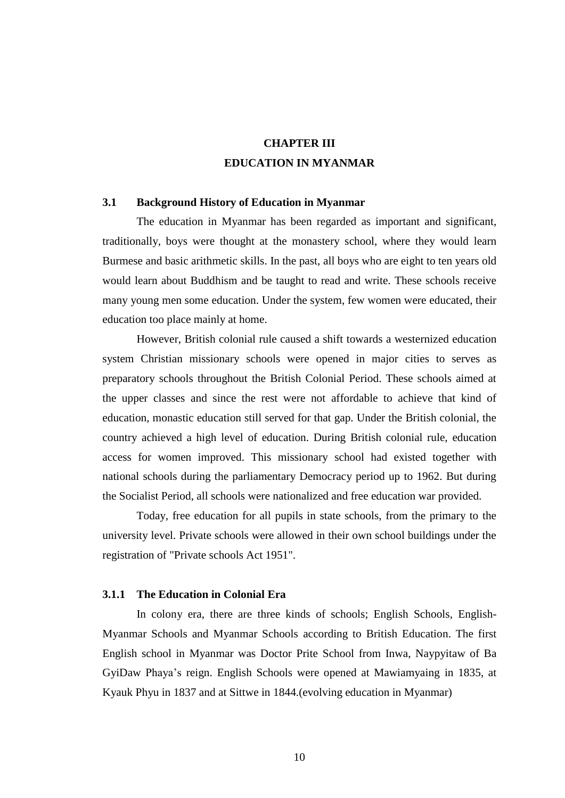## **CHAPTER III EDUCATION IN MYANMAR**

### **3.1 Background History of Education in Myanmar**

The education in Myanmar has been regarded as important and significant, traditionally, boys were thought at the monastery school, where they would learn Burmese and basic arithmetic skills. In the past, all boys who are eight to ten years old would learn about Buddhism and be taught to read and write. These schools receive many young men some education. Under the system, few women were educated, their education too place mainly at home.

However, British colonial rule caused a shift towards a westernized education system Christian missionary schools were opened in major cities to serves as preparatory schools throughout the British Colonial Period. These schools aimed at the upper classes and since the rest were not affordable to achieve that kind of education, monastic education still served for that gap. Under the British colonial, the country achieved a high level of education. During British colonial rule, education access for women improved. This missionary school had existed together with national schools during the parliamentary Democracy period up to 1962. But during the Socialist Period, all schools were nationalized and free education war provided.

Today, free education for all pupils in state schools, from the primary to the university level. Private schools were allowed in their own school buildings under the registration of "Private schools Act 1951".

#### **3.1.1 The Education in Colonial Era**

In colony era, there are three kinds of schools; English Schools, English-Myanmar Schools and Myanmar Schools according to British Education. The first English school in Myanmar was Doctor Prite School from Inwa, Naypyitaw of Ba GyiDaw Phaya"s reign. English Schools were opened at Mawiamyaing in 1835, at Kyauk Phyu in 1837 and at Sittwe in 1844.(evolving education in Myanmar)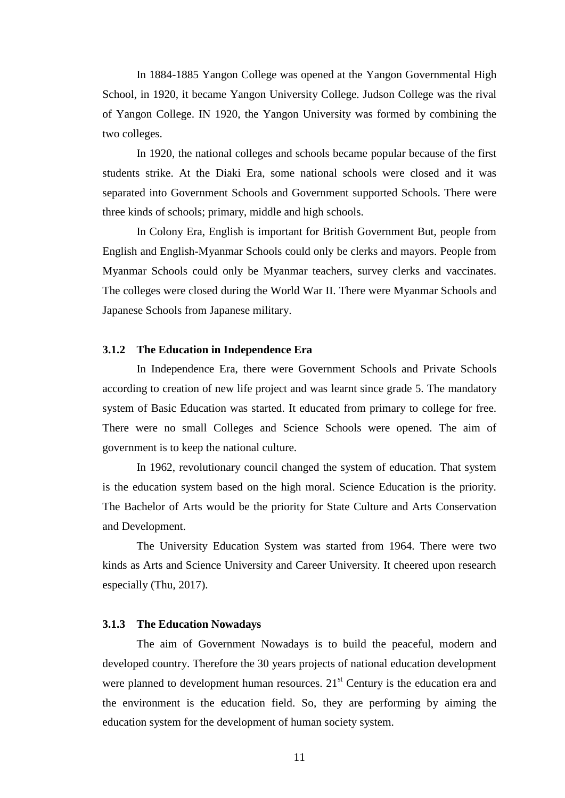In 1884-1885 Yangon College was opened at the Yangon Governmental High School, in 1920, it became Yangon University College. Judson College was the rival of Yangon College. IN 1920, the Yangon University was formed by combining the two colleges.

In 1920, the national colleges and schools became popular because of the first students strike. At the Diaki Era, some national schools were closed and it was separated into Government Schools and Government supported Schools. There were three kinds of schools; primary, middle and high schools.

In Colony Era, English is important for British Government But, people from English and English-Myanmar Schools could only be clerks and mayors. People from Myanmar Schools could only be Myanmar teachers, survey clerks and vaccinates. The colleges were closed during the World War II. There were Myanmar Schools and Japanese Schools from Japanese military.

#### **3.1.2 The Education in Independence Era**

In Independence Era, there were Government Schools and Private Schools according to creation of new life project and was learnt since grade 5. The mandatory system of Basic Education was started. It educated from primary to college for free. There were no small Colleges and Science Schools were opened. The aim of government is to keep the national culture.

In 1962, revolutionary council changed the system of education. That system is the education system based on the high moral. Science Education is the priority. The Bachelor of Arts would be the priority for State Culture and Arts Conservation and Development.

The University Education System was started from 1964. There were two kinds as Arts and Science University and Career University. It cheered upon research especially (Thu, 2017).

#### **3.1.3 The Education Nowadays**

The aim of Government Nowadays is to build the peaceful, modern and developed country. Therefore the 30 years projects of national education development were planned to development human resources.  $21<sup>st</sup>$  Century is the education era and the environment is the education field. So, they are performing by aiming the education system for the development of human society system.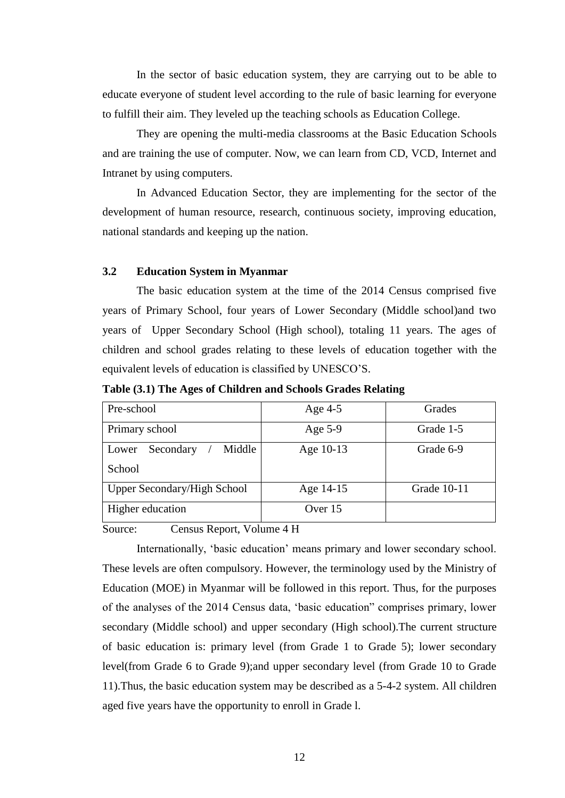In the sector of basic education system, they are carrying out to be able to educate everyone of student level according to the rule of basic learning for everyone to fulfill their aim. They leveled up the teaching schools as Education College.

They are opening the multi-media classrooms at the Basic Education Schools and are training the use of computer. Now, we can learn from CD, VCD, Internet and Intranet by using computers.

In Advanced Education Sector, they are implementing for the sector of the development of human resource, research, continuous society, improving education, national standards and keeping up the nation.

## **3.2 Education System in Myanmar**

The basic education system at the time of the 2014 Census comprised five years of Primary School, four years of Lower Secondary (Middle school)and two years of Upper Secondary School (High school), totaling 11 years. The ages of children and school grades relating to these levels of education together with the equivalent levels of education is classified by UNESCO"S.

**Table (3.1) The Ages of Children and Schools Grades Relating**

| Grade 1-5<br>Age $5-9$   |
|--------------------------|
| Age 10-13<br>Grade 6-9   |
|                          |
| Grade 10-11<br>Age 14-15 |
| Over 15                  |
|                          |

Source: Census Report, Volume 4 H

Internationally, 'basic education' means primary and lower secondary school. These levels are often compulsory. However, the terminology used by the Ministry of Education (MOE) in Myanmar will be followed in this report. Thus, for the purposes of the analyses of the 2014 Census data, "basic education" comprises primary, lower secondary (Middle school) and upper secondary (High school).The current structure of basic education is: primary level (from Grade 1 to Grade 5); lower secondary level(from Grade 6 to Grade 9);and upper secondary level (from Grade 10 to Grade 11).Thus, the basic education system may be described as a 5-4-2 system. All children aged five years have the opportunity to enroll in Grade l.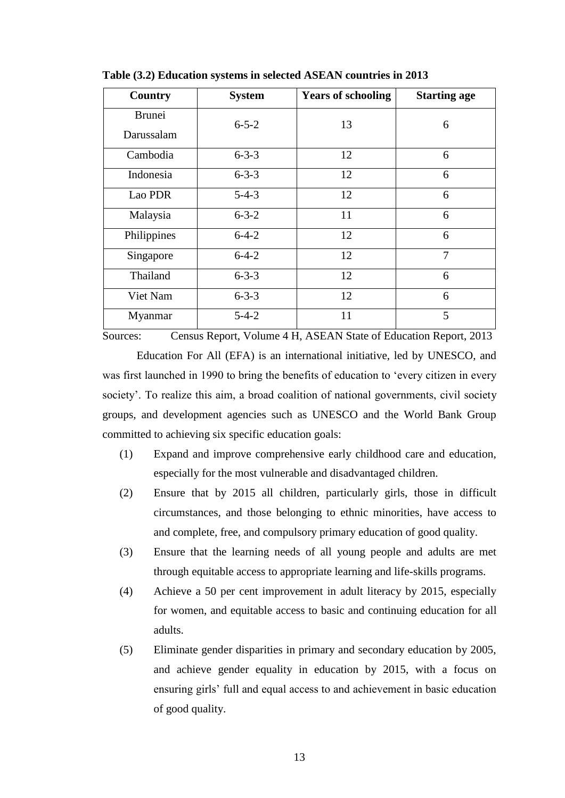| Country                     | <b>System</b> | <b>Years of schooling</b> | <b>Starting age</b> |
|-----------------------------|---------------|---------------------------|---------------------|
| <b>Brunei</b><br>Darussalam | $6 - 5 - 2$   | 13                        | 6                   |
| Cambodia                    | $6 - 3 - 3$   | 12                        | 6                   |
| Indonesia                   | $6 - 3 - 3$   | 12                        | 6                   |
| Lao PDR                     | $5 - 4 - 3$   | 12                        | 6                   |
| Malaysia                    | $6 - 3 - 2$   | 11                        | 6                   |
| Philippines                 | $6-4-2$       | 12                        | 6                   |
| Singapore                   | $6 - 4 - 2$   | 12                        | $\overline{7}$      |
| Thailand                    | $6 - 3 - 3$   | 12                        | 6                   |
| Viet Nam                    | $6 - 3 - 3$   | 12                        | 6                   |
| Myanmar                     | $5 - 4 - 2$   | 11                        | 5                   |

**Table (3.2) Education systems in selected ASEAN countries in 2013**

Sources: Census Report, Volume 4 H, ASEAN State of Education Report, 2013

Education For All (EFA) is an international initiative, led by UNESCO, and was first launched in 1990 to bring the benefits of education to "every citizen in every society'. To realize this aim, a broad coalition of national governments, civil society groups, and development agencies such as UNESCO and the World Bank Group committed to achieving six specific education goals:

- (1) Expand and improve comprehensive early childhood care and education, especially for the most vulnerable and disadvantaged children.
- (2) Ensure that by 2015 all children, particularly girls, those in difficult circumstances, and those belonging to ethnic minorities, have access to and complete, free, and compulsory primary education of good quality.
- (3) Ensure that the learning needs of all young people and adults are met through equitable access to appropriate learning and life-skills programs.
- (4) Achieve a 50 per cent improvement in adult literacy by 2015, especially for women, and equitable access to basic and continuing education for all adults.
- (5) Eliminate gender disparities in primary and secondary education by 2005, and achieve gender equality in education by 2015, with a focus on ensuring girls" full and equal access to and achievement in basic education of good quality.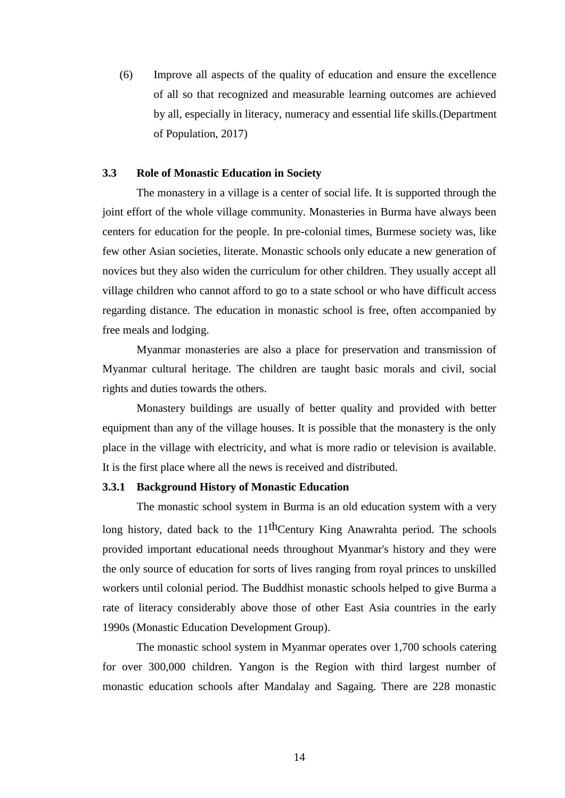(6) Improve all aspects of the quality of education and ensure the excellence of all so that recognized and measurable learning outcomes are achieved by all, especially in literacy, numeracy and essential life skills.(Department of Population, 2017)

### **3.3 Role of Monastic Education in Society**

The monastery in a village is a center of social life. It is supported through the joint effort of the whole village community. Monasteries in Burma have always been centers for education for the people. In pre-colonial times, Burmese society was, like few other Asian societies, literate. Monastic schools only educate a new generation of novices but they also widen the curriculum for other children. They usually accept all village children who cannot afford to go to a state school or who have difficult access regarding distance. The education in monastic school is free, often accompanied by free meals and lodging.

Myanmar monasteries are also a place for preservation and transmission of Myanmar cultural heritage. The children are taught basic morals and civil, social rights and duties towards the others.

Monastery buildings are usually of better quality and provided with better equipment than any of the village houses. It is possible that the monastery is the only place in the village with electricity, and what is more radio or television is available. It is the first place where all the news is received and distributed.

#### **3.3.1 Background History of Monastic Education**

The monastic school system in Burma is an old education system with a very long history, dated back to the  $11<sup>th</sup>$ Century King Anawrahta period. The schools provided important educational needs throughout Myanmar's history and they were the only source of education for sorts of lives ranging from royal princes to unskilled workers until colonial period. The Buddhist monastic schools helped to give Burma a rate of literacy considerably above those of other East Asia countries in the early 1990s (Monastic Education Development Group).

The monastic school system in Myanmar operates over 1,700 schools catering for over 300,000 children. Yangon is the Region with third largest number of monastic education schools after Mandalay and Sagaing. There are 228 monastic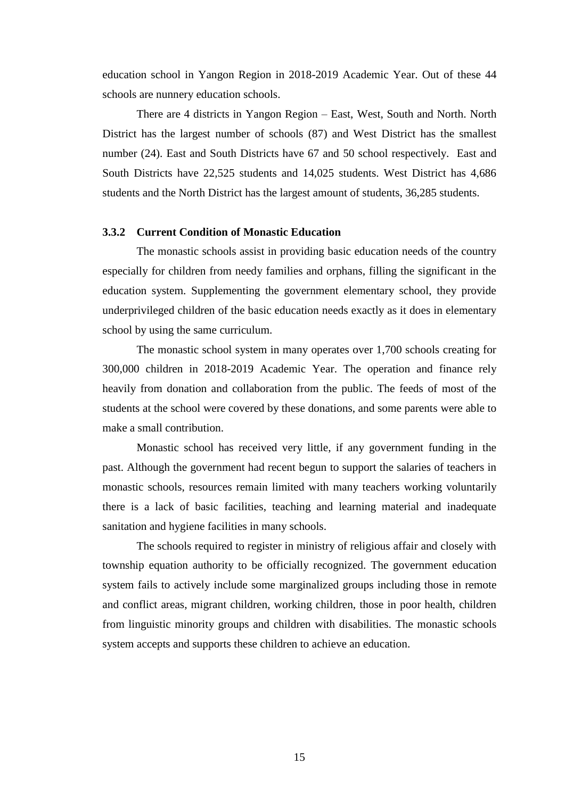education school in Yangon Region in 2018-2019 Academic Year. Out of these 44 schools are nunnery education schools.

There are 4 districts in Yangon Region – East, West, South and North. North District has the largest number of schools (87) and West District has the smallest number (24). East and South Districts have 67 and 50 school respectively. East and South Districts have 22,525 students and 14,025 students. West District has 4,686 students and the North District has the largest amount of students, 36,285 students.

#### **3.3.2 Current Condition of Monastic Education**

The monastic schools assist in providing basic education needs of the country especially for children from needy families and orphans, filling the significant in the education system. Supplementing the government elementary school, they provide underprivileged children of the basic education needs exactly as it does in elementary school by using the same curriculum.

The monastic school system in many operates over 1,700 schools creating for 300,000 children in 2018-2019 Academic Year. The operation and finance rely heavily from donation and collaboration from the public. The feeds of most of the students at the school were covered by these donations, and some parents were able to make a small contribution.

Monastic school has received very little, if any government funding in the past. Although the government had recent begun to support the salaries of teachers in monastic schools, resources remain limited with many teachers working voluntarily there is a lack of basic facilities, teaching and learning material and inadequate sanitation and hygiene facilities in many schools.

The schools required to register in ministry of religious affair and closely with township equation authority to be officially recognized. The government education system fails to actively include some marginalized groups including those in remote and conflict areas, migrant children, working children, those in poor health, children from linguistic minority groups and children with disabilities. The monastic schools system accepts and supports these children to achieve an education.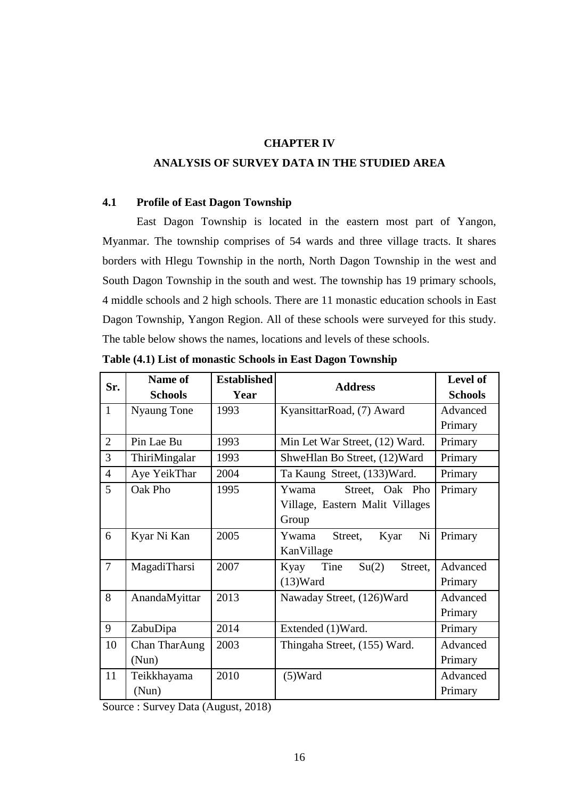## **CHAPTER IV**

## **ANALYSIS OF SURVEY DATA IN THE STUDIED AREA**

#### **4.1 Profile of East Dagon Township**

East Dagon Township is located in the eastern most part of Yangon, Myanmar. The township comprises of 54 wards and three village tracts. It shares borders with Hlegu Township in the north, North Dagon Township in the west and South Dagon Township in the south and west. The township has 19 primary schools, 4 middle schools and 2 high schools. There are 11 monastic education schools in East Dagon Township, Yangon Region. All of these schools were surveyed for this study. The table below shows the names, locations and levels of these schools.

| Sr.            | Name of        | <b>Established</b> | <b>Address</b>                   | Level of       |
|----------------|----------------|--------------------|----------------------------------|----------------|
|                | <b>Schools</b> | Year               |                                  | <b>Schools</b> |
| $\mathbf{1}$   | Nyaung Tone    | 1993               | KyansittarRoad, (7) Award        | Advanced       |
|                |                |                    |                                  | Primary        |
| $\overline{2}$ | Pin Lae Bu     | 1993               | Min Let War Street, (12) Ward.   | Primary        |
| 3              | ThiriMingalar  | 1993               | ShweHlan Bo Street, (12) Ward    | Primary        |
| $\overline{4}$ | Aye YeikThar   | 2004               | Ta Kaung Street, (133) Ward.     | Primary        |
| $\overline{5}$ | Oak Pho        | 1995               | Ywama<br>Street, Oak Pho         | Primary        |
|                |                |                    | Village, Eastern Malit Villages  |                |
|                |                |                    | Group                            |                |
| 6              | Kyar Ni Kan    | 2005               | Ni<br>Street,<br>Ywama<br>Kyar   | Primary        |
|                |                |                    | KanVillage                       |                |
| $\overline{7}$ | MagadiTharsi   | 2007               | Tine<br>Su(2)<br>Street,<br>Kyay | Advanced       |
|                |                |                    | $(13)$ Ward                      | Primary        |
| 8              | AnandaMyittar  | 2013               | Nawaday Street, (126) Ward       | Advanced       |
|                |                |                    |                                  | Primary        |
| 9              | ZabuDipa       | 2014               | Extended (1)Ward.                | Primary        |
| 10             | Chan TharAung  | 2003               | Thingaha Street, (155) Ward.     | Advanced       |
|                | (Nun)          |                    |                                  | Primary        |
| 11             | Teikkhayama    | 2010               | $(5)$ Ward                       | Advanced       |
|                | (Nun)          |                    |                                  | Primary        |

**Table (4.1) List of monastic Schools in East Dagon Township**

Source : Survey Data (August, 2018)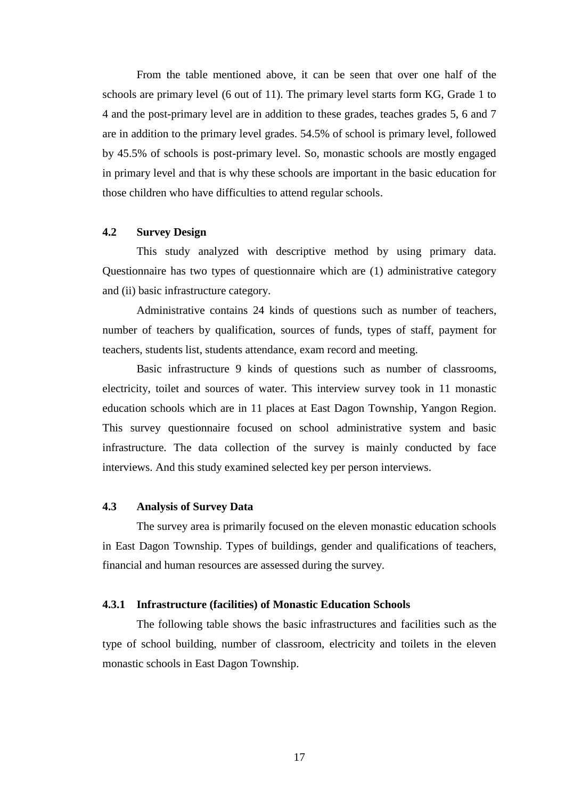From the table mentioned above, it can be seen that over one half of the schools are primary level (6 out of 11). The primary level starts form KG, Grade 1 to 4 and the post-primary level are in addition to these grades, teaches grades 5, 6 and 7 are in addition to the primary level grades. 54.5% of school is primary level, followed by 45.5% of schools is post-primary level. So, monastic schools are mostly engaged in primary level and that is why these schools are important in the basic education for those children who have difficulties to attend regular schools.

#### **4.2 Survey Design**

This study analyzed with descriptive method by using primary data. Questionnaire has two types of questionnaire which are (1) administrative category and (ii) basic infrastructure category.

Administrative contains 24 kinds of questions such as number of teachers, number of teachers by qualification, sources of funds, types of staff, payment for teachers, students list, students attendance, exam record and meeting.

Basic infrastructure 9 kinds of questions such as number of classrooms, electricity, toilet and sources of water. This interview survey took in 11 monastic education schools which are in 11 places at East Dagon Township, Yangon Region. This survey questionnaire focused on school administrative system and basic infrastructure. The data collection of the survey is mainly conducted by face interviews. And this study examined selected key per person interviews.

## **4.3 Analysis of Survey Data**

The survey area is primarily focused on the eleven monastic education schools in East Dagon Township. Types of buildings, gender and qualifications of teachers, financial and human resources are assessed during the survey.

#### **4.3.1 Infrastructure (facilities) of Monastic Education Schools**

The following table shows the basic infrastructures and facilities such as the type of school building, number of classroom, electricity and toilets in the eleven monastic schools in East Dagon Township.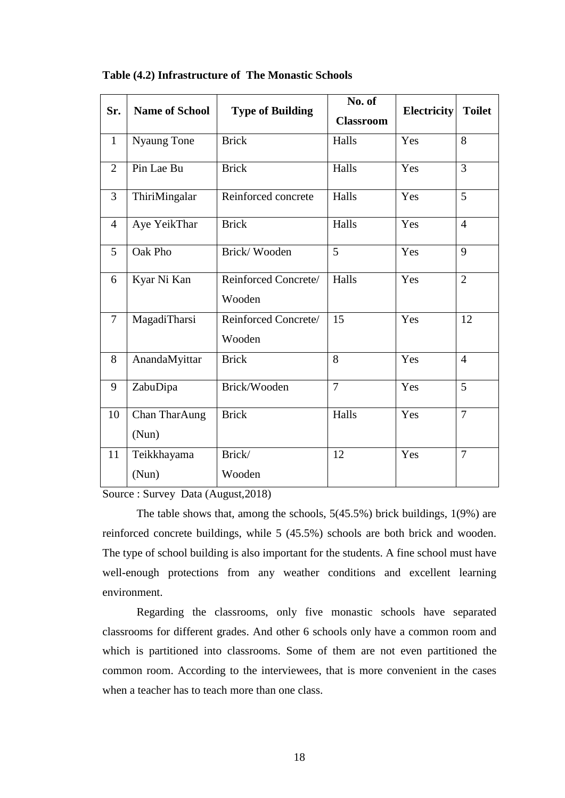| Sr.            | <b>Name of School</b>  | <b>Type of Building</b>        | No. of<br><b>Classroom</b> | <b>Electricity</b> | <b>Toilet</b>  |
|----------------|------------------------|--------------------------------|----------------------------|--------------------|----------------|
| $\mathbf{1}$   | Nyaung Tone            | <b>Brick</b>                   | Halls                      | Yes                | 8              |
| $\overline{2}$ | Pin Lae Bu             | <b>Brick</b>                   | Halls                      | Yes                | $\overline{3}$ |
| 3              | ThiriMingalar          | Reinforced concrete            | Halls                      | Yes                | 5              |
| $\overline{4}$ | Aye YeikThar           | <b>Brick</b>                   | Halls                      | Yes                | $\overline{4}$ |
| 5              | Oak Pho                | Brick/Wooden                   | $\overline{5}$             | Yes                | 9              |
| 6              | Kyar Ni Kan            | Reinforced Concrete/<br>Wooden | Halls                      | Yes                | $\overline{2}$ |
| $\overline{7}$ | MagadiTharsi           | Reinforced Concrete/<br>Wooden | 15                         | Yes                | 12             |
| 8              | AnandaMyittar          | <b>Brick</b>                   | 8                          | Yes                | $\overline{4}$ |
| 9              | ZabuDipa               | Brick/Wooden                   | $\overline{7}$             | Yes                | 5              |
| 10             | Chan TharAung<br>(Nun) | <b>Brick</b>                   | Halls                      | Yes                | $\overline{7}$ |
| 11             | Teikkhayama<br>(Nun)   | Brick/<br>Wooden               | 12                         | Yes                | $\overline{7}$ |

**Table (4.2) Infrastructure of The Monastic Schools**

Source : Survey Data (August,2018)

The table shows that, among the schools, 5(45.5%) brick buildings, 1(9%) are reinforced concrete buildings, while 5 (45.5%) schools are both brick and wooden. The type of school building is also important for the students. A fine school must have well-enough protections from any weather conditions and excellent learning environment.

Regarding the classrooms, only five monastic schools have separated classrooms for different grades. And other 6 schools only have a common room and which is partitioned into classrooms. Some of them are not even partitioned the common room. According to the interviewees, that is more convenient in the cases when a teacher has to teach more than one class.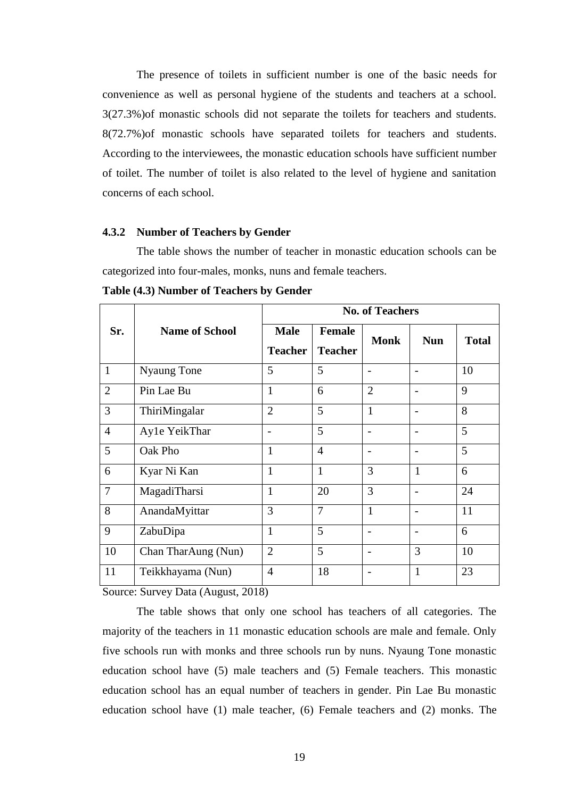The presence of toilets in sufficient number is one of the basic needs for convenience as well as personal hygiene of the students and teachers at a school. 3(27.3%)of monastic schools did not separate the toilets for teachers and students. 8(72.7%)of monastic schools have separated toilets for teachers and students. According to the interviewees, the monastic education schools have sufficient number of toilet. The number of toilet is also related to the level of hygiene and sanitation concerns of each school.

#### **4.3.2 Number of Teachers by Gender**

The table shows the number of teacher in monastic education schools can be categorized into four-males, monks, nuns and female teachers.

|                |                       | <b>No. of Teachers</b>        |                                 |                          |                |              |  |
|----------------|-----------------------|-------------------------------|---------------------------------|--------------------------|----------------|--------------|--|
| Sr.            | <b>Name of School</b> | <b>Male</b><br><b>Teacher</b> | <b>Female</b><br><b>Teacher</b> | <b>Monk</b>              | <b>Nun</b>     | <b>Total</b> |  |
| $\mathbf{1}$   | Nyaung Tone           | 5                             | 5                               | $\overline{\phantom{0}}$ | $\overline{a}$ | 10           |  |
| $\overline{2}$ | Pin Lae Bu            | 1                             | 6                               | $\overline{2}$           | $\overline{a}$ | 9            |  |
| 3              | ThiriMingalar         | $\overline{2}$                | 5                               | $\mathbf{1}$             |                | 8            |  |
| $\overline{4}$ | Ayle YeikThar         |                               | 5                               | $\overline{\phantom{0}}$ | $\overline{a}$ | 5            |  |
| 5              | Oak Pho               | $\mathbf{1}$                  | $\overline{4}$                  | $\overline{\phantom{0}}$ |                | 5            |  |
| 6              | Kyar Ni Kan           | 1                             | $\mathbf{1}$                    | 3                        | $\mathbf{1}$   | 6            |  |
| $\overline{7}$ | MagadiTharsi          | $\mathbf{1}$                  | 20                              | 3                        | $\overline{a}$ | 24           |  |
| 8              | AnandaMyittar         | 3                             | 7                               | $\mathbf{1}$             | -              | 11           |  |
| 9              | ZabuDipa              | $\mathbf{1}$                  | 5                               | $\overline{\phantom{0}}$ |                | 6            |  |
| 10             | Chan TharAung (Nun)   | $\overline{2}$                | 5                               | $\overline{\phantom{0}}$ | 3              | 10           |  |
| 11             | Teikkhayama (Nun)     | $\overline{4}$                | 18                              | $\overline{\phantom{0}}$ | $\mathbf{1}$   | 23           |  |

**Table (4.3) Number of Teachers by Gender**

Source: Survey Data (August, 2018)

The table shows that only one school has teachers of all categories. The majority of the teachers in 11 monastic education schools are male and female. Only five schools run with monks and three schools run by nuns. Nyaung Tone monastic education school have (5) male teachers and (5) Female teachers. This monastic education school has an equal number of teachers in gender. Pin Lae Bu monastic education school have (1) male teacher, (6) Female teachers and (2) monks. The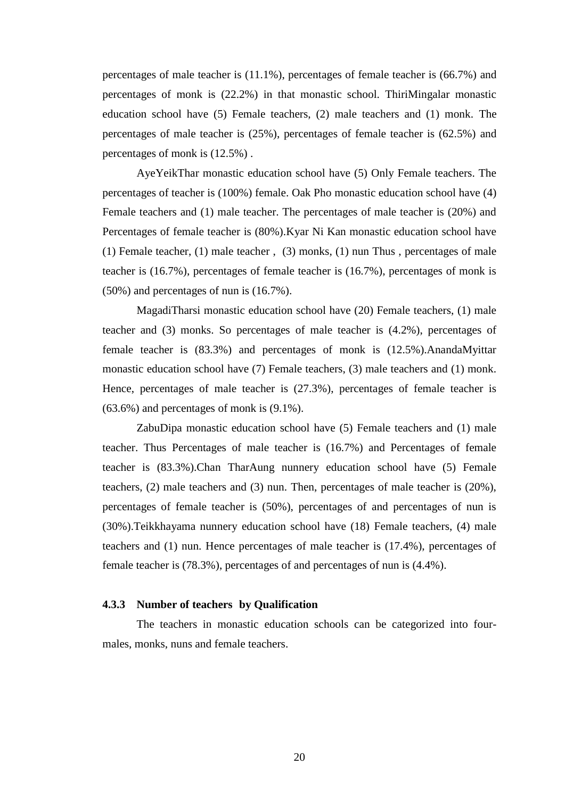percentages of male teacher is (11.1%), percentages of female teacher is (66.7%) and percentages of monk is (22.2%) in that monastic school. ThiriMingalar monastic education school have (5) Female teachers, (2) male teachers and (1) monk. The percentages of male teacher is (25%), percentages of female teacher is (62.5%) and percentages of monk is (12.5%) .

AyeYeikThar monastic education school have (5) Only Female teachers. The percentages of teacher is (100%) female. Oak Pho monastic education school have (4) Female teachers and (1) male teacher. The percentages of male teacher is (20%) and Percentages of female teacher is (80%).Kyar Ni Kan monastic education school have (1) Female teacher, (1) male teacher , (3) monks, (1) nun Thus , percentages of male teacher is (16.7%), percentages of female teacher is (16.7%), percentages of monk is (50%) and percentages of nun is (16.7%).

MagadiTharsi monastic education school have (20) Female teachers, (1) male teacher and (3) monks. So percentages of male teacher is (4.2%), percentages of female teacher is (83.3%) and percentages of monk is (12.5%).AnandaMyittar monastic education school have (7) Female teachers, (3) male teachers and (1) monk. Hence, percentages of male teacher is (27.3%), percentages of female teacher is (63.6%) and percentages of monk is (9.1%).

ZabuDipa monastic education school have (5) Female teachers and (1) male teacher. Thus Percentages of male teacher is (16.7%) and Percentages of female teacher is (83.3%).Chan TharAung nunnery education school have (5) Female teachers, (2) male teachers and (3) nun. Then, percentages of male teacher is (20%), percentages of female teacher is (50%), percentages of and percentages of nun is (30%).Teikkhayama nunnery education school have (18) Female teachers, (4) male teachers and (1) nun. Hence percentages of male teacher is (17.4%), percentages of female teacher is (78.3%), percentages of and percentages of nun is (4.4%).

#### **4.3.3 Number of teachers by Qualification**

The teachers in monastic education schools can be categorized into fourmales, monks, nuns and female teachers.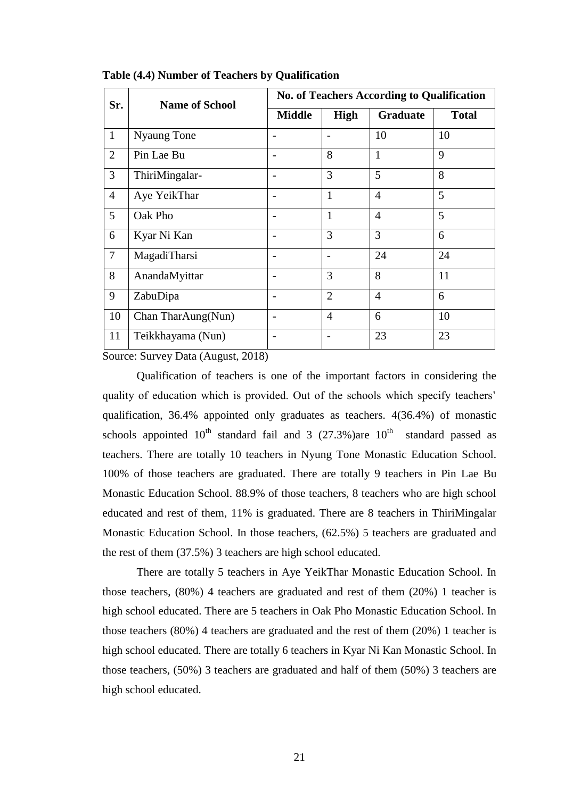| Sr.            | <b>Name of School</b> | <b>No. of Teachers According to Qualification</b> |                |                 |              |  |
|----------------|-----------------------|---------------------------------------------------|----------------|-----------------|--------------|--|
|                |                       | <b>Middle</b>                                     | High           | <b>Graduate</b> | <b>Total</b> |  |
| $\mathbf{1}$   | <b>Nyaung Tone</b>    |                                                   |                | 10              | 10           |  |
| $\overline{2}$ | Pin Lae Bu            |                                                   | 8              | $\mathbf{1}$    | 9            |  |
| $\overline{3}$ | ThiriMingalar-        |                                                   | 3              | 5               | 8            |  |
| $\overline{4}$ | Aye YeikThar          |                                                   | $\mathbf{1}$   | $\overline{4}$  | 5            |  |
| 5              | Oak Pho               |                                                   | $\mathbf{1}$   | $\overline{4}$  | 5            |  |
| 6              | Kyar Ni Kan           |                                                   | 3              | 3               | 6            |  |
| $\overline{7}$ | MagadiTharsi          |                                                   |                | 24              | 24           |  |
| 8              | AnandaMyittar         |                                                   | 3              | 8               | 11           |  |
| 9              | ZabuDipa              |                                                   | $\overline{2}$ | $\overline{4}$  | 6            |  |
| 10             | Chan TharAung(Nun)    |                                                   | $\overline{4}$ | 6               | 10           |  |
| 11             | Teikkhayama (Nun)     |                                                   |                | 23              | 23           |  |

**Table (4.4) Number of Teachers by Qualification**

Source: Survey Data (August, 2018)

Qualification of teachers is one of the important factors in considering the quality of education which is provided. Out of the schools which specify teachers' qualification, 36.4% appointed only graduates as teachers. 4(36.4%) of monastic schools appointed  $10^{th}$  standard fail and 3 (27.3%)are  $10^{th}$  standard passed as teachers. There are totally 10 teachers in Nyung Tone Monastic Education School. 100% of those teachers are graduated. There are totally 9 teachers in Pin Lae Bu Monastic Education School. 88.9% of those teachers, 8 teachers who are high school educated and rest of them, 11% is graduated. There are 8 teachers in ThiriMingalar Monastic Education School. In those teachers, (62.5%) 5 teachers are graduated and the rest of them (37.5%) 3 teachers are high school educated.

There are totally 5 teachers in Aye YeikThar Monastic Education School. In those teachers, (80%) 4 teachers are graduated and rest of them (20%) 1 teacher is high school educated. There are 5 teachers in Oak Pho Monastic Education School. In those teachers (80%) 4 teachers are graduated and the rest of them (20%) 1 teacher is high school educated. There are totally 6 teachers in Kyar Ni Kan Monastic School. In those teachers, (50%) 3 teachers are graduated and half of them (50%) 3 teachers are high school educated.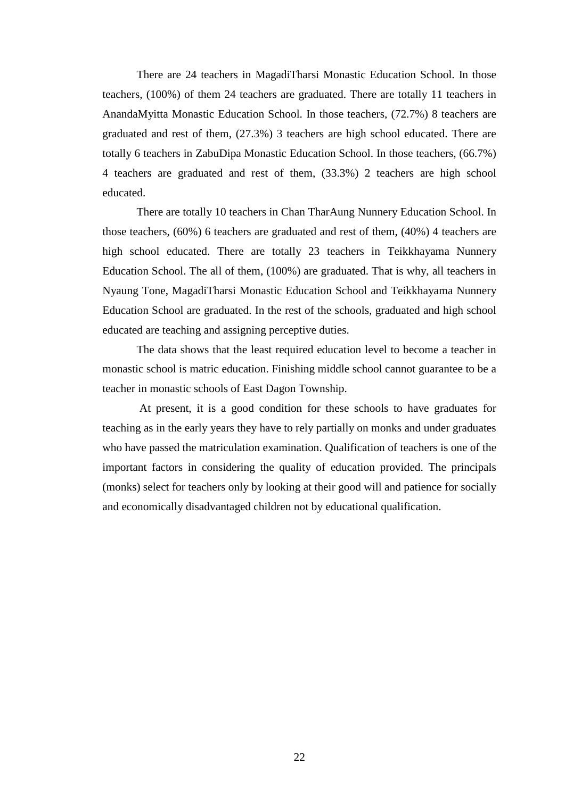There are 24 teachers in MagadiTharsi Monastic Education School. In those teachers, (100%) of them 24 teachers are graduated. There are totally 11 teachers in AnandaMyitta Monastic Education School. In those teachers, (72.7%) 8 teachers are graduated and rest of them, (27.3%) 3 teachers are high school educated. There are totally 6 teachers in ZabuDipa Monastic Education School. In those teachers, (66.7%) 4 teachers are graduated and rest of them, (33.3%) 2 teachers are high school educated.

There are totally 10 teachers in Chan TharAung Nunnery Education School. In those teachers, (60%) 6 teachers are graduated and rest of them, (40%) 4 teachers are high school educated. There are totally 23 teachers in Teikkhayama Nunnery Education School. The all of them, (100%) are graduated. That is why, all teachers in Nyaung Tone, MagadiTharsi Monastic Education School and Teikkhayama Nunnery Education School are graduated. In the rest of the schools, graduated and high school educated are teaching and assigning perceptive duties.

The data shows that the least required education level to become a teacher in monastic school is matric education. Finishing middle school cannot guarantee to be a teacher in monastic schools of East Dagon Township.

At present, it is a good condition for these schools to have graduates for teaching as in the early years they have to rely partially on monks and under graduates who have passed the matriculation examination. Qualification of teachers is one of the important factors in considering the quality of education provided. The principals (monks) select for teachers only by looking at their good will and patience for socially and economically disadvantaged children not by educational qualification.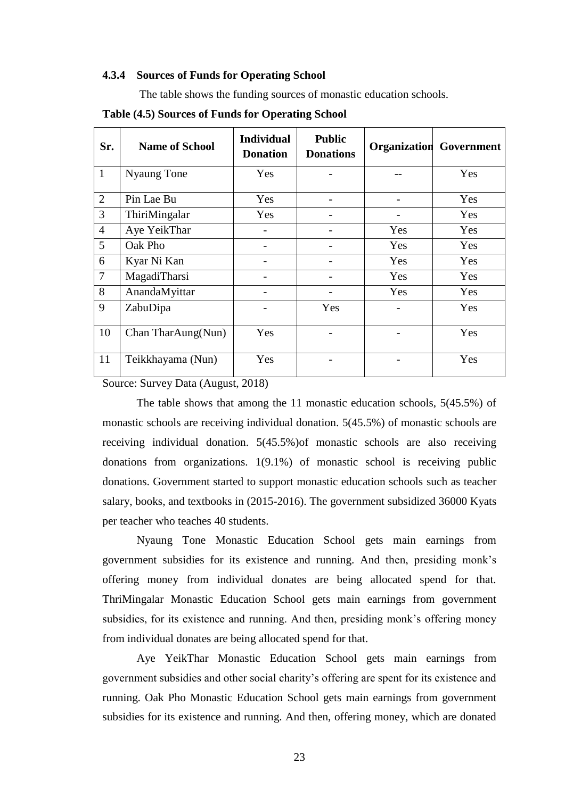#### **4.3.4 Sources of Funds for Operating School**

The table shows the funding sources of monastic education schools.

| Sr.            | <b>Name of School</b> | <b>Individual</b><br><b>Donation</b> | <b>Public</b><br><b>Donations</b> | Organization | Government |
|----------------|-----------------------|--------------------------------------|-----------------------------------|--------------|------------|
| $\mathbf{1}$   | <b>Nyaung Tone</b>    | Yes                                  |                                   |              | Yes        |
| $\overline{2}$ | Pin Lae Bu            | Yes                                  |                                   |              | Yes        |
| 3              | ThiriMingalar         | Yes                                  |                                   |              | Yes        |
| $\overline{4}$ | Aye YeikThar          |                                      |                                   | Yes          | Yes        |
| 5 <sup>5</sup> | Oak Pho               |                                      |                                   | Yes          | Yes        |
| 6              | Kyar Ni Kan           |                                      |                                   | Yes          | Yes        |
| $\overline{7}$ | MagadiTharsi          |                                      |                                   | Yes          | Yes        |
| 8              | AnandaMyittar         |                                      |                                   | Yes          | Yes        |
| 9              | ZabuDipa              |                                      | Yes                               |              | Yes        |
| 10             | Chan TharAung(Nun)    | Yes                                  |                                   |              | Yes        |
| 11             | Teikkhayama (Nun)     | Yes                                  |                                   |              | Yes        |

**Table (4.5) Sources of Funds for Operating School**

Source: Survey Data (August, 2018)

The table shows that among the 11 monastic education schools, 5(45.5%) of monastic schools are receiving individual donation. 5(45.5%) of monastic schools are receiving individual donation. 5(45.5%)of monastic schools are also receiving donations from organizations. 1(9.1%) of monastic school is receiving public donations. Government started to support monastic education schools such as teacher salary, books, and textbooks in (2015-2016). The government subsidized 36000 Kyats per teacher who teaches 40 students.

Nyaung Tone Monastic Education School gets main earnings from government subsidies for its existence and running. And then, presiding monk"s offering money from individual donates are being allocated spend for that. ThriMingalar Monastic Education School gets main earnings from government subsidies, for its existence and running. And then, presiding monk's offering money from individual donates are being allocated spend for that.

Aye YeikThar Monastic Education School gets main earnings from government subsidies and other social charity"s offering are spent for its existence and running. Oak Pho Monastic Education School gets main earnings from government subsidies for its existence and running. And then, offering money, which are donated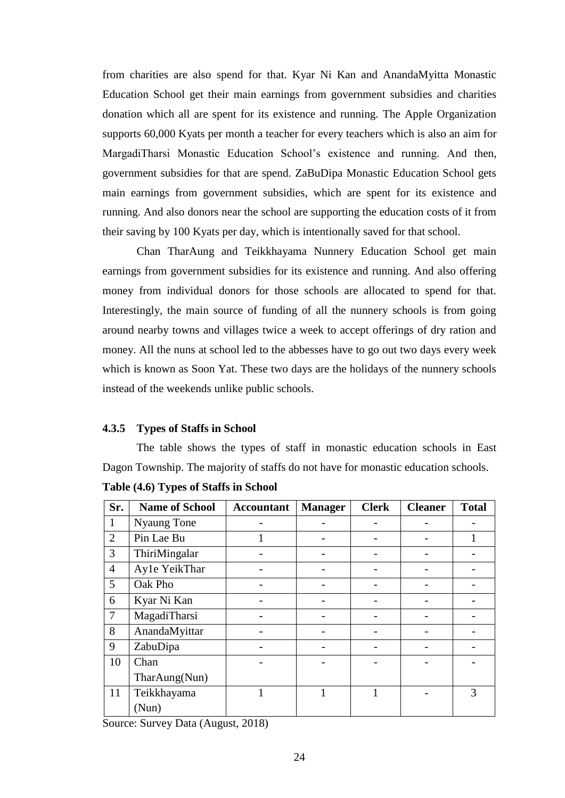from charities are also spend for that. Kyar Ni Kan and AnandaMyitta Monastic Education School get their main earnings from government subsidies and charities donation which all are spent for its existence and running. The Apple Organization supports 60,000 Kyats per month a teacher for every teachers which is also an aim for MargadiTharsi Monastic Education School's existence and running. And then, government subsidies for that are spend. ZaBuDipa Monastic Education School gets main earnings from government subsidies, which are spent for its existence and running. And also donors near the school are supporting the education costs of it from their saving by 100 Kyats per day, which is intentionally saved for that school.

Chan TharAung and Teikkhayama Nunnery Education School get main earnings from government subsidies for its existence and running. And also offering money from individual donors for those schools are allocated to spend for that. Interestingly, the main source of funding of all the nunnery schools is from going around nearby towns and villages twice a week to accept offerings of dry ration and money. All the nuns at school led to the abbesses have to go out two days every week which is known as Soon Yat. These two days are the holidays of the nunnery schools instead of the weekends unlike public schools.

#### **4.3.5 Types of Staffs in School**

The table shows the types of staff in monastic education schools in East Dagon Township. The majority of staffs do not have for monastic education schools.

| Sr.            | <b>Name of School</b> | <b>Accountant</b> | <b>Manager</b> | <b>Clerk</b> | <b>Cleaner</b> | <b>Total</b> |
|----------------|-----------------------|-------------------|----------------|--------------|----------------|--------------|
| 1              | <b>Nyaung Tone</b>    |                   |                |              |                |              |
| $\overline{2}$ | Pin Lae Bu            |                   |                |              |                |              |
| 3              | ThiriMingalar         |                   |                |              |                |              |
| $\overline{4}$ | Ayle YeikThar         |                   |                |              |                |              |
| 5              | Oak Pho               |                   |                |              |                |              |
| 6              | Kyar Ni Kan           |                   |                |              |                |              |
| $\overline{7}$ | MagadiTharsi          |                   |                |              |                |              |
| 8              | AnandaMyittar         |                   |                |              |                |              |
| 9              | ZabuDipa              |                   |                |              |                |              |
| 10             | Chan                  |                   |                |              |                |              |
|                | TharAung(Nun)         |                   |                |              |                |              |
| 11             | Teikkhayama           |                   |                |              |                | 3            |
|                | (Nun)                 |                   |                |              |                |              |

**Table (4.6) Types of Staffs in School**

Source: Survey Data (August, 2018)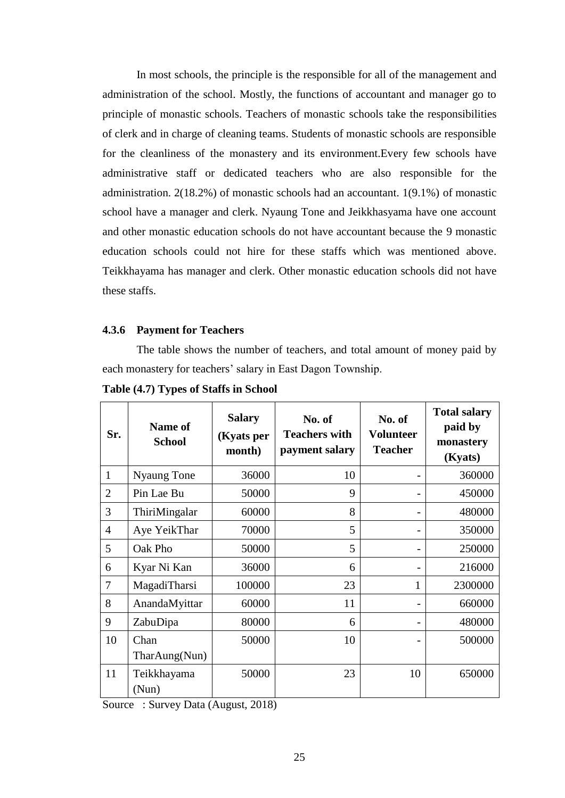In most schools, the principle is the responsible for all of the management and administration of the school. Mostly, the functions of accountant and manager go to principle of monastic schools. Teachers of monastic schools take the responsibilities of clerk and in charge of cleaning teams. Students of monastic schools are responsible for the cleanliness of the monastery and its environment.Every few schools have administrative staff or dedicated teachers who are also responsible for the administration. 2(18.2%) of monastic schools had an accountant. 1(9.1%) of monastic school have a manager and clerk. Nyaung Tone and Jeikkhasyama have one account and other monastic education schools do not have accountant because the 9 monastic education schools could not hire for these staffs which was mentioned above. Teikkhayama has manager and clerk. Other monastic education schools did not have these staffs.

#### **4.3.6 Payment for Teachers**

The table shows the number of teachers, and total amount of money paid by each monastery for teachers' salary in East Dagon Township.

| Sr.            | Name of<br><b>School</b>              | <b>Salary</b><br>(Kyats per<br>month) | No. of<br><b>Teachers with</b><br>payment salary | No. of<br><b>Volunteer</b><br><b>Teacher</b> | <b>Total salary</b><br>paid by<br>monastery<br>(Kyats) |
|----------------|---------------------------------------|---------------------------------------|--------------------------------------------------|----------------------------------------------|--------------------------------------------------------|
| $\mathbf{1}$   | Nyaung Tone                           | 36000                                 | 10                                               |                                              | 360000                                                 |
| $\overline{2}$ | Pin Lae Bu                            | 50000                                 | 9                                                |                                              | 450000                                                 |
| 3              | ThiriMingalar                         | 60000                                 | 8                                                |                                              | 480000                                                 |
| $\overline{4}$ | Aye YeikThar                          | 70000                                 | 5                                                |                                              | 350000                                                 |
| 5              | Oak Pho                               | 50000                                 | 5                                                |                                              | 250000                                                 |
| 6              | Kyar Ni Kan                           | 36000                                 | 6                                                |                                              | 216000                                                 |
| 7              | MagadiTharsi                          | 100000                                | 23                                               | 1                                            | 2300000                                                |
| 8              | AnandaMyittar                         | 60000                                 | 11                                               |                                              | 660000                                                 |
| 9              | ZabuDipa                              | 80000                                 | 6                                                |                                              | 480000                                                 |
| 10             | Chan<br>$\text{TharAung}(\text{Nun})$ | 50000                                 | 10                                               |                                              | 500000                                                 |
| 11             | Teikkhayama<br>(Nun)                  | 50000                                 | 23                                               | 10                                           | 650000                                                 |

**Table (4.7) Types of Staffs in School**

Source : Survey Data (August, 2018)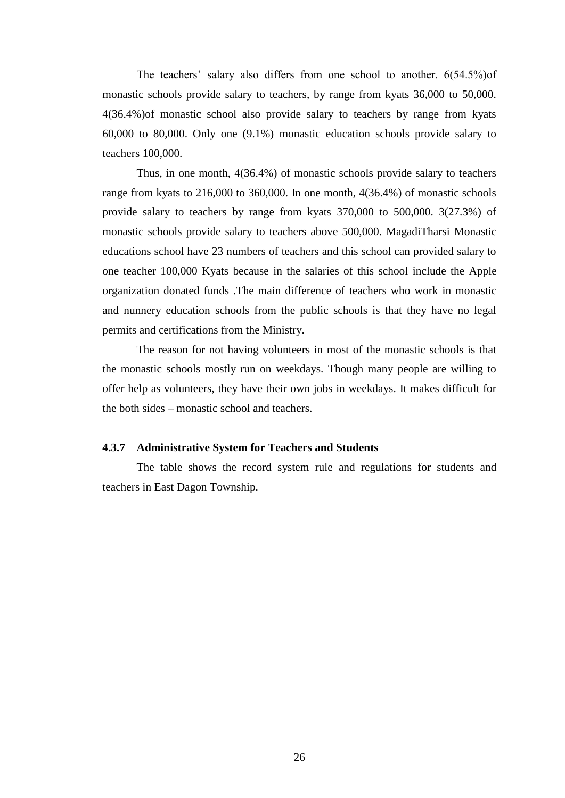The teachers' salary also differs from one school to another. 6(54.5%) of monastic schools provide salary to teachers, by range from kyats 36,000 to 50,000. 4(36.4%)of monastic school also provide salary to teachers by range from kyats 60,000 to 80,000. Only one (9.1%) monastic education schools provide salary to teachers 100,000.

Thus, in one month, 4(36.4%) of monastic schools provide salary to teachers range from kyats to 216,000 to 360,000. In one month, 4(36.4%) of monastic schools provide salary to teachers by range from kyats 370,000 to 500,000. 3(27.3%) of monastic schools provide salary to teachers above 500,000. MagadiTharsi Monastic educations school have 23 numbers of teachers and this school can provided salary to one teacher 100,000 Kyats because in the salaries of this school include the Apple organization donated funds .The main difference of teachers who work in monastic and nunnery education schools from the public schools is that they have no legal permits and certifications from the Ministry.

The reason for not having volunteers in most of the monastic schools is that the monastic schools mostly run on weekdays. Though many people are willing to offer help as volunteers, they have their own jobs in weekdays. It makes difficult for the both sides – monastic school and teachers.

#### **4.3.7 Administrative System for Teachers and Students**

The table shows the record system rule and regulations for students and teachers in East Dagon Township.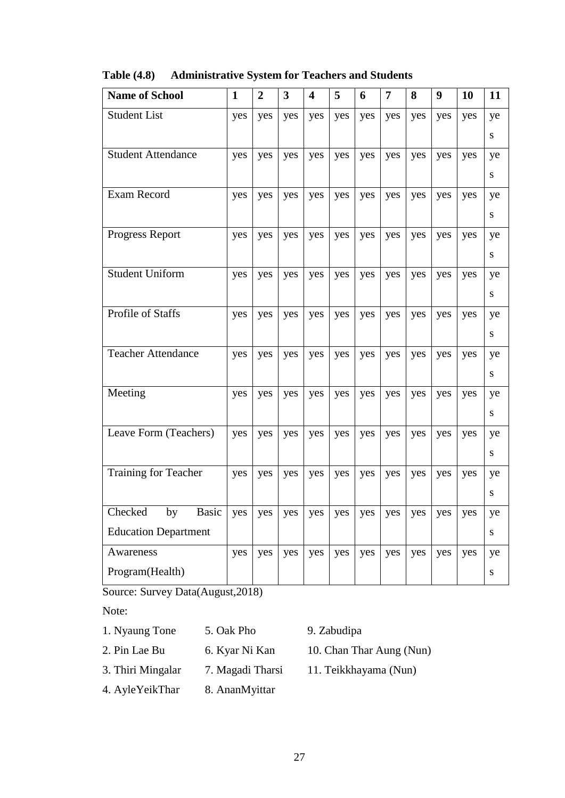| <b>Name of School</b>         | $\mathbf{1}$ | $\overline{2}$ | 3   | $\overline{\mathbf{4}}$ | 5   | 6   | $\overline{7}$ | 8   | 9   | <b>10</b> | 11        |
|-------------------------------|--------------|----------------|-----|-------------------------|-----|-----|----------------|-----|-----|-----------|-----------|
| <b>Student List</b>           | yes          | yes            | yes | yes                     | yes | yes | yes            | yes | yes | yes       | ye        |
|                               |              |                |     |                         |     |     |                |     |     |           | S         |
| <b>Student Attendance</b>     | yes          | yes            | yes | yes                     | yes | yes | yes            | yes | yes | yes       | ye        |
|                               |              |                |     |                         |     |     |                |     |     |           | S         |
| Exam Record                   | yes          | yes            | yes | yes                     | yes | yes | yes            | yes | yes | yes       | ye        |
|                               |              |                |     |                         |     |     |                |     |     |           | S         |
| <b>Progress Report</b>        | yes          | yes            | yes | yes                     | yes | yes | yes            | yes | yes | yes       | ye        |
|                               |              |                |     |                         |     |     |                |     |     |           | S         |
| <b>Student Uniform</b>        | yes          | yes            | yes | yes                     | yes | yes | yes            | yes | yes | yes       | ye        |
|                               |              |                |     |                         |     |     |                |     |     |           | S         |
| Profile of Staffs             | yes          | yes            | yes | yes                     | yes | yes | yes            | yes | yes | yes       | ye        |
|                               |              |                |     |                         |     |     |                |     |     |           | ${\bf S}$ |
| <b>Teacher Attendance</b>     | yes          | yes            | yes | yes                     | yes | yes | yes            | yes | yes | yes       | ye        |
|                               |              |                |     |                         |     |     |                |     |     |           | ${\bf S}$ |
| Meeting                       | yes          | yes            | yes | yes                     | yes | yes | yes            | yes | yes | yes       | ye        |
|                               |              |                |     |                         |     |     |                |     |     |           | ${\bf S}$ |
| Leave Form (Teachers)         | yes          | yes            | yes | yes                     | yes | yes | yes            | yes | yes | yes       | ye        |
|                               |              |                |     |                         |     |     |                |     |     |           | ${\bf S}$ |
| <b>Training for Teacher</b>   | yes          | yes            | yes | yes                     | yes | yes | yes            | yes | yes | yes       | ye        |
|                               |              |                |     |                         |     |     |                |     |     |           | ${\bf S}$ |
| Checked<br>by<br><b>Basic</b> | yes          | yes            | yes | yes                     | yes | yes | yes            | yes | yes | yes       | ye        |
| <b>Education Department</b>   |              |                |     |                         |     |     |                |     |     |           | ${\bf S}$ |
| Awareness                     | yes          | yes            | yes | yes                     | yes | yes | yes            | yes | yes | yes       | ye        |
| Program(Health)               |              |                |     |                         |     |     |                |     |     |           | ${\bf S}$ |

**Table (4.8) Administrative System for Teachers and Students**

Source: Survey Data(August,2018)

Note:

- 1. Nyaung Tone 5. Oak Pho 9. Zabudipa
- 2. Pin Lae Bu 6. Kyar Ni Kan 10. Chan Thar Aung (Nun)
- 3. Thiri Mingalar 7. Magadi Tharsi 11. Teikkhayama (Nun)
- 4. AyleYeikThar 8. AnanMyittar
-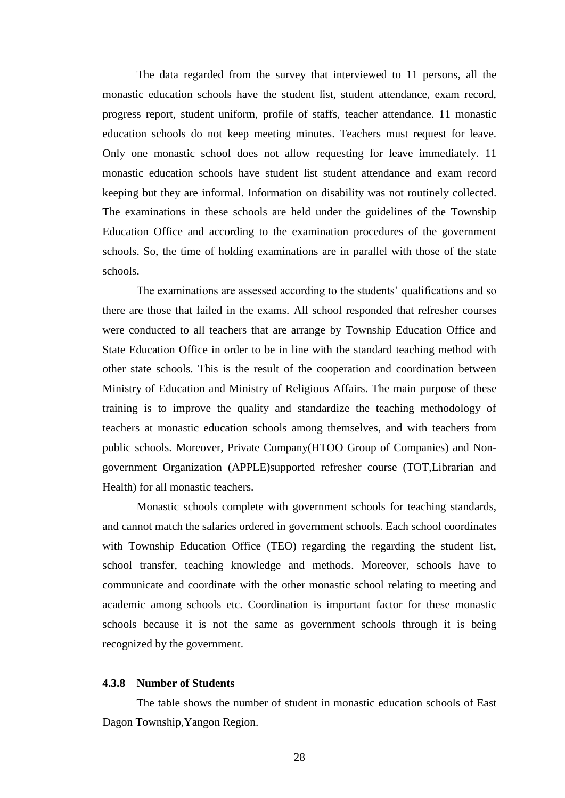The data regarded from the survey that interviewed to 11 persons, all the monastic education schools have the student list, student attendance, exam record, progress report, student uniform, profile of staffs, teacher attendance. 11 monastic education schools do not keep meeting minutes. Teachers must request for leave. Only one monastic school does not allow requesting for leave immediately. 11 monastic education schools have student list student attendance and exam record keeping but they are informal. Information on disability was not routinely collected. The examinations in these schools are held under the guidelines of the Township Education Office and according to the examination procedures of the government schools. So, the time of holding examinations are in parallel with those of the state schools.

The examinations are assessed according to the students' qualifications and so there are those that failed in the exams. All school responded that refresher courses were conducted to all teachers that are arrange by Township Education Office and State Education Office in order to be in line with the standard teaching method with other state schools. This is the result of the cooperation and coordination between Ministry of Education and Ministry of Religious Affairs. The main purpose of these training is to improve the quality and standardize the teaching methodology of teachers at monastic education schools among themselves, and with teachers from public schools. Moreover, Private Company(HTOO Group of Companies) and Nongovernment Organization (APPLE)supported refresher course (TOT,Librarian and Health) for all monastic teachers.

Monastic schools complete with government schools for teaching standards, and cannot match the salaries ordered in government schools. Each school coordinates with Township Education Office (TEO) regarding the regarding the student list, school transfer, teaching knowledge and methods. Moreover, schools have to communicate and coordinate with the other monastic school relating to meeting and academic among schools etc. Coordination is important factor for these monastic schools because it is not the same as government schools through it is being recognized by the government.

#### **4.3.8 Number of Students**

The table shows the number of student in monastic education schools of East Dagon Township,Yangon Region.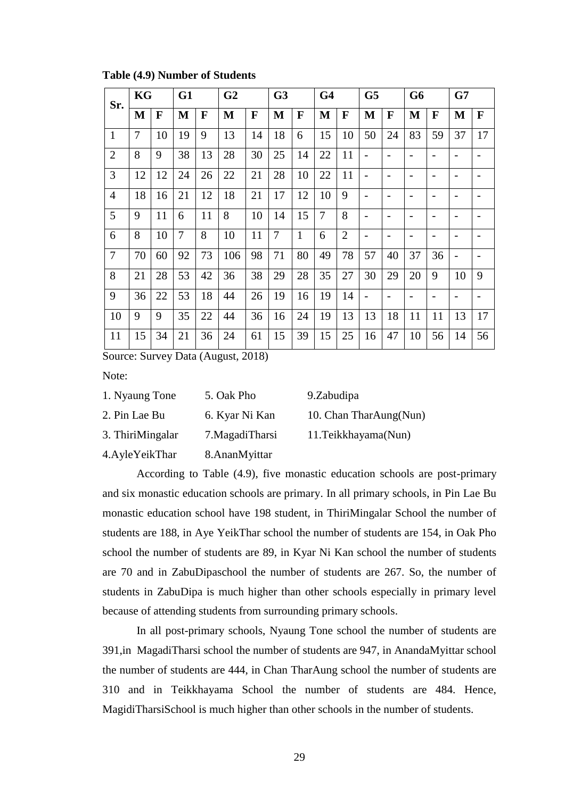| Sr.            | KG |             | G1             |    | G <sub>2</sub> |    | G <sub>3</sub> |              | G <sub>4</sub> |                | G <sub>5</sub>           |              | G <sub>6</sub> |    | G7                       |                          |
|----------------|----|-------------|----------------|----|----------------|----|----------------|--------------|----------------|----------------|--------------------------|--------------|----------------|----|--------------------------|--------------------------|
|                | M  | $\mathbf F$ | M              | F  | M              | F  | $\bf M$        | $\mathbf{F}$ | M              | $\mathbf F$    | $\mathbf{M}$             | $\mathbf{F}$ | $\mathbf{M}$   | F  | M                        | $\mathbf{F}$             |
| $\mathbf{1}$   | 7  | 10          | 19             | 9  | 13             | 14 | 18             | 6            | 15             | 10             | 50                       | 24           | 83             | 59 | 37                       | 17                       |
| $\overline{2}$ | 8  | 9           | 38             | 13 | 28             | 30 | 25             | 14           | 22             | 11             |                          |              |                |    |                          |                          |
| 3              | 12 | 12          | 24             | 26 | 22             | 21 | 28             | 10           | 22             | 11             |                          |              |                |    | $\overline{\phantom{0}}$ |                          |
| $\overline{4}$ | 18 | 16          | 21             | 12 | 18             | 21 | 17             | 12           | 10             | 9              | $\overline{\phantom{0}}$ |              |                |    | $\overline{a}$           |                          |
| 5              | 9  | 11          | 6              | 11 | 8              | 10 | 14             | 15           | 7              | 8              | $\overline{\phantom{0}}$ |              |                |    | $\overline{\phantom{0}}$ |                          |
| 6              | 8  | 10          | $\overline{7}$ | 8  | 10             | 11 | 7              | $\mathbf{1}$ | 6              | $\overline{2}$ | $\overline{a}$           |              |                |    | $\qquad \qquad$          |                          |
| $\overline{7}$ | 70 | 60          | 92             | 73 | 106            | 98 | 71             | 80           | 49             | 78             | 57                       | 40           | 37             | 36 | $\overline{\phantom{a}}$ | $\overline{\phantom{a}}$ |
| 8              | 21 | 28          | 53             | 42 | 36             | 38 | 29             | 28           | 35             | 27             | 30                       | 29           | 20             | 9  | 10                       | 9                        |
| 9              | 36 | 22          | 53             | 18 | 44             | 26 | 19             | 16           | 19             | 14             | $\overline{\phantom{0}}$ |              |                |    | $\qquad \qquad$          | $\overline{\phantom{a}}$ |
| 10             | 9  | 9           | 35             | 22 | 44             | 36 | 16             | 24           | 19             | 13             | 13                       | 18           | 11             | 11 | 13                       | 17                       |
| 11             | 15 | 34          | 21             | 36 | 24             | 61 | 15             | 39           | 15             | 25             | 16                       | 47           | 10             | 56 | 14                       | 56                       |

**Table (4.9) Number of Students**

Source: Survey Data (August, 2018)

Note:

| 1. Nyaung Tone    | 5. Oak Pho       | 9.Zabudipa             |
|-------------------|------------------|------------------------|
| 2. Pin Lae Bu     | 6. Kyar Ni Kan   | 10. Chan TharAung(Nun) |
| 3. ThiriMingalar  | 7. Magadi Tharsi | 11. Teikkhayama (Nun)  |
| 4. Ayle Yeik Thar | 8. AnanMyittar   |                        |

According to Table (4.9), five monastic education schools are post-primary and six monastic education schools are primary. In all primary schools, in Pin Lae Bu monastic education school have 198 student, in ThiriMingalar School the number of students are 188, in Aye YeikThar school the number of students are 154, in Oak Pho school the number of students are 89, in Kyar Ni Kan school the number of students are 70 and in ZabuDipaschool the number of students are 267. So, the number of students in ZabuDipa is much higher than other schools especially in primary level because of attending students from surrounding primary schools.

In all post-primary schools, Nyaung Tone school the number of students are 391,in MagadiTharsi school the number of students are 947, in AnandaMyittar school the number of students are 444, in Chan TharAung school the number of students are 310 and in Teikkhayama School the number of students are 484. Hence, MagidiTharsiSchool is much higher than other schools in the number of students.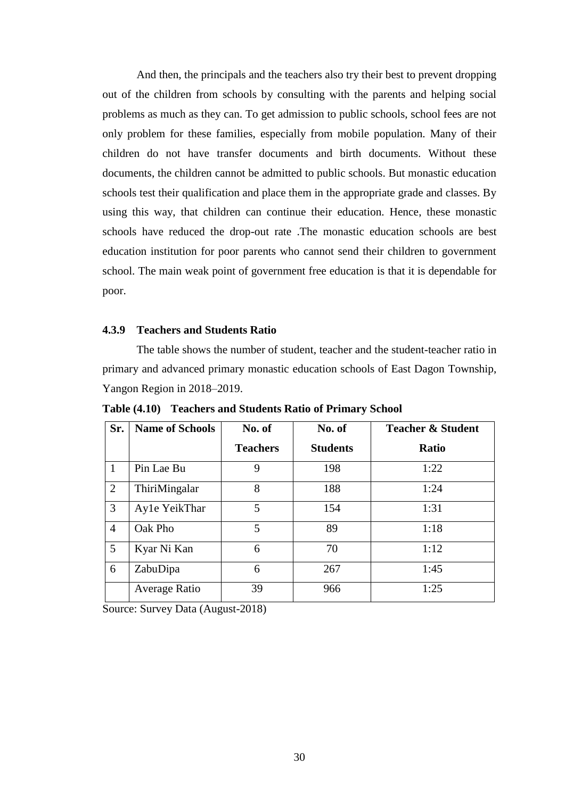And then, the principals and the teachers also try their best to prevent dropping out of the children from schools by consulting with the parents and helping social problems as much as they can. To get admission to public schools, school fees are not only problem for these families, especially from mobile population. Many of their children do not have transfer documents and birth documents. Without these documents, the children cannot be admitted to public schools. But monastic education schools test their qualification and place them in the appropriate grade and classes. By using this way, that children can continue their education. Hence, these monastic schools have reduced the drop-out rate .The monastic education schools are best education institution for poor parents who cannot send their children to government school. The main weak point of government free education is that it is dependable for poor.

### **4.3.9 Teachers and Students Ratio**

The table shows the number of student, teacher and the student-teacher ratio in primary and advanced primary monastic education schools of East Dagon Township, Yangon Region in 2018–2019.

| Sr.            | <b>Name of Schools</b> | No. of          | No. of          | <b>Teacher &amp; Student</b> |
|----------------|------------------------|-----------------|-----------------|------------------------------|
|                |                        | <b>Teachers</b> | <b>Students</b> | <b>Ratio</b>                 |
| $\mathbf{1}$   | Pin Lae Bu             | 9               | 198             | 1:22                         |
| $\overline{2}$ | ThiriMingalar          | 8               | 188             | 1:24                         |
| 3              | Ayle YeikThar          | 5               | 154             | 1:31                         |
| $\overline{4}$ | Oak Pho                | 5               | 89              | 1:18                         |
| 5              | Kyar Ni Kan            | 6               | 70              | 1:12                         |
| 6              | ZabuDipa               | 6               | 267             | 1:45                         |
|                | Average Ratio          | 39              | 966             | 1:25                         |

**Table (4.10) Teachers and Students Ratio of Primary School**

Source: Survey Data (August-2018)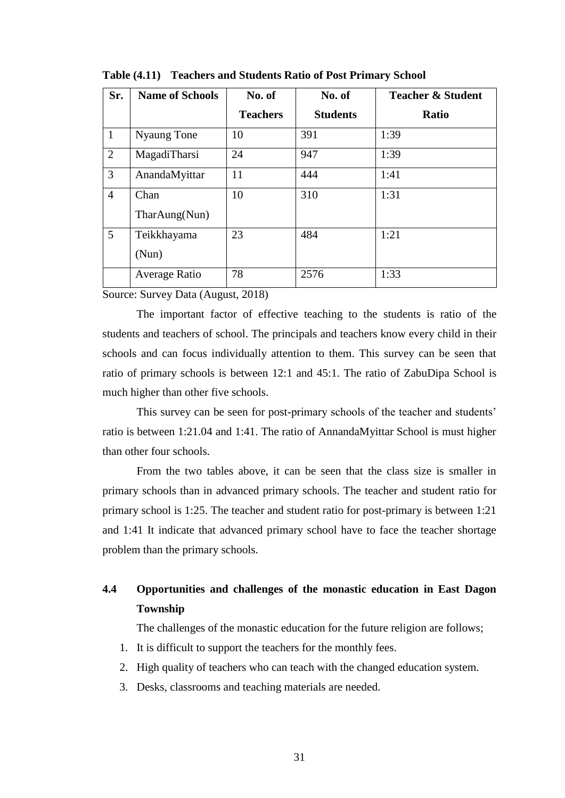| Sr.            | <b>Name of Schools</b> | No. of          | No. of          | <b>Teacher &amp; Student</b> |
|----------------|------------------------|-----------------|-----------------|------------------------------|
|                |                        | <b>Teachers</b> | <b>Students</b> | <b>Ratio</b>                 |
| $\mathbf{1}$   | Nyaung Tone            | 10              | 391             | 1:39                         |
| 2              | MagadiTharsi           | 24              | 947             | 1:39                         |
| 3              | AnandaMyittar          | 11              | 444             | 1:41                         |
| $\overline{4}$ | Chan                   | 10              | 310             | 1:31                         |
|                | TharAung(Nun)          |                 |                 |                              |
| 5              | Teikkhayama            | 23              | 484             | 1:21                         |
|                | (Nun)                  |                 |                 |                              |
|                | Average Ratio          | 78              | 2576            | 1:33                         |

**Table (4.11) Teachers and Students Ratio of Post Primary School**

Source: Survey Data (August, 2018)

The important factor of effective teaching to the students is ratio of the students and teachers of school. The principals and teachers know every child in their schools and can focus individually attention to them. This survey can be seen that ratio of primary schools is between 12:1 and 45:1. The ratio of ZabuDipa School is much higher than other five schools.

This survey can be seen for post-primary schools of the teacher and students' ratio is between 1:21.04 and 1:41. The ratio of AnnandaMyittar School is must higher than other four schools.

From the two tables above, it can be seen that the class size is smaller in primary schools than in advanced primary schools. The teacher and student ratio for primary school is 1:25. The teacher and student ratio for post-primary is between 1:21 and 1:41 It indicate that advanced primary school have to face the teacher shortage problem than the primary schools.

## **4.4 Opportunities and challenges of the monastic education in East Dagon Township**

The challenges of the monastic education for the future religion are follows;

- 1. It is difficult to support the teachers for the monthly fees.
- 2. High quality of teachers who can teach with the changed education system.
- 3. Desks, classrooms and teaching materials are needed.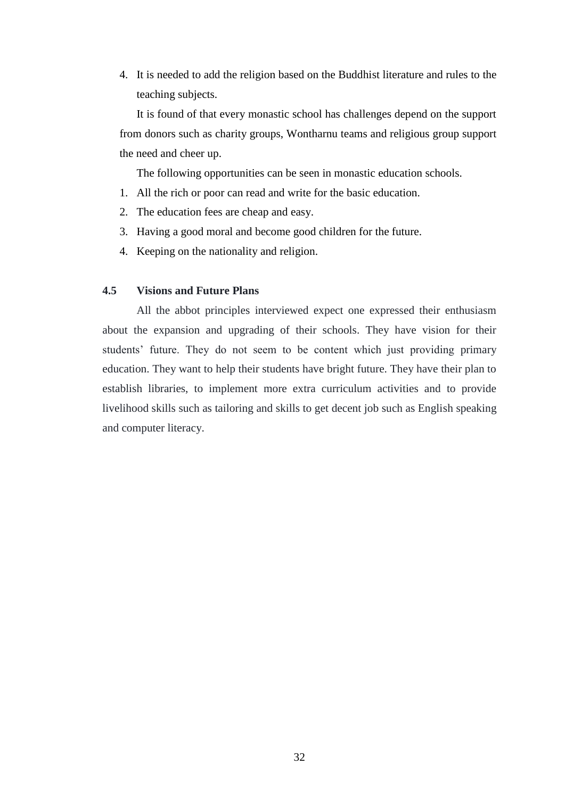4. It is needed to add the religion based on the Buddhist literature and rules to the teaching subjects.

It is found of that every monastic school has challenges depend on the support from donors such as charity groups, Wontharnu teams and religious group support the need and cheer up.

The following opportunities can be seen in monastic education schools.

- 1. All the rich or poor can read and write for the basic education.
- 2. The education fees are cheap and easy.
- 3. Having a good moral and become good children for the future.
- 4. Keeping on the nationality and religion.

#### **4.5 Visions and Future Plans**

All the abbot principles interviewed expect one expressed their enthusiasm about the expansion and upgrading of their schools. They have vision for their students' future. They do not seem to be content which just providing primary education. They want to help their students have bright future. They have their plan to establish libraries, to implement more extra curriculum activities and to provide livelihood skills such as tailoring and skills to get decent job such as English speaking and computer literacy.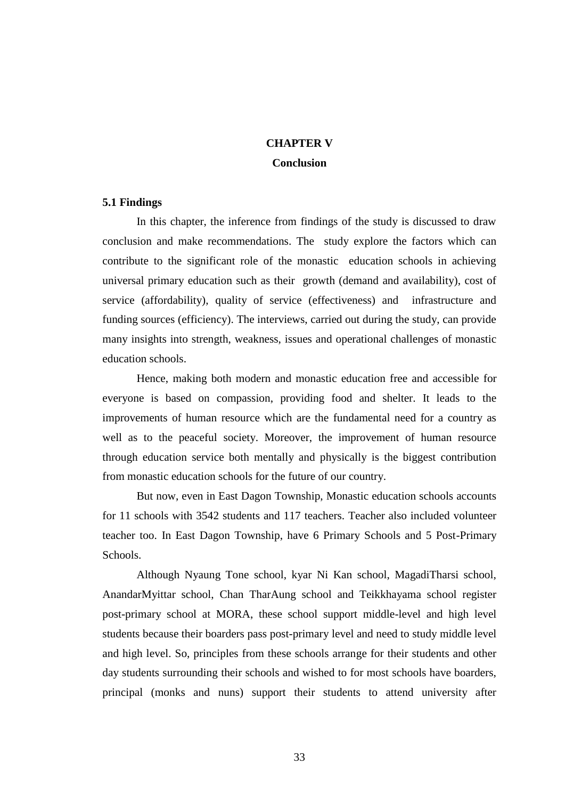## **CHAPTER V Conclusion**

#### **5.1 Findings**

In this chapter, the inference from findings of the study is discussed to draw conclusion and make recommendations. The study explore the factors which can contribute to the significant role of the monastic education schools in achieving universal primary education such as their growth (demand and availability), cost of service (affordability), quality of service (effectiveness) and infrastructure and funding sources (efficiency). The interviews, carried out during the study, can provide many insights into strength, weakness, issues and operational challenges of monastic education schools.

Hence, making both modern and monastic education free and accessible for everyone is based on compassion, providing food and shelter. It leads to the improvements of human resource which are the fundamental need for a country as well as to the peaceful society. Moreover, the improvement of human resource through education service both mentally and physically is the biggest contribution from monastic education schools for the future of our country.

But now, even in East Dagon Township, Monastic education schools accounts for 11 schools with 3542 students and 117 teachers. Teacher also included volunteer teacher too. In East Dagon Township, have 6 Primary Schools and 5 Post-Primary Schools.

Although Nyaung Tone school, kyar Ni Kan school, MagadiTharsi school, AnandarMyittar school, Chan TharAung school and Teikkhayama school register post-primary school at MORA, these school support middle-level and high level students because their boarders pass post-primary level and need to study middle level and high level. So, principles from these schools arrange for their students and other day students surrounding their schools and wished to for most schools have boarders, principal (monks and nuns) support their students to attend university after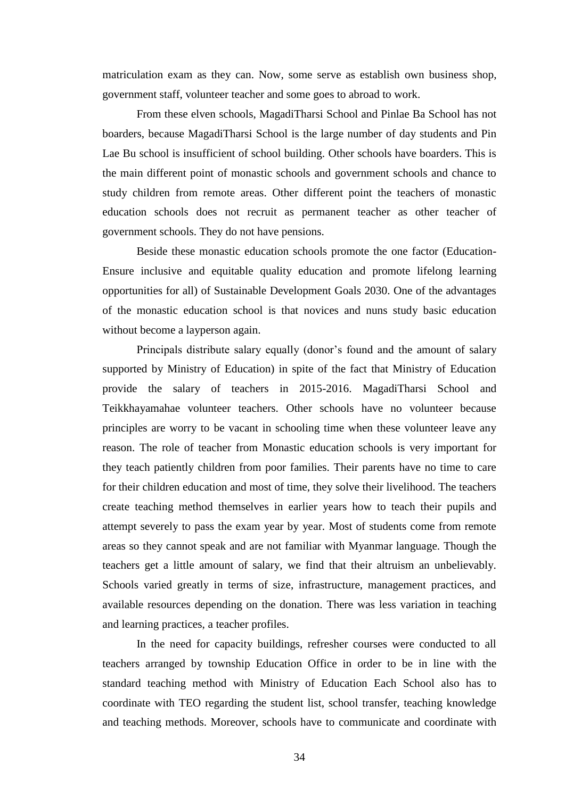matriculation exam as they can. Now, some serve as establish own business shop, government staff, volunteer teacher and some goes to abroad to work.

From these elven schools, MagadiTharsi School and Pinlae Ba School has not boarders, because MagadiTharsi School is the large number of day students and Pin Lae Bu school is insufficient of school building. Other schools have boarders. This is the main different point of monastic schools and government schools and chance to study children from remote areas. Other different point the teachers of monastic education schools does not recruit as permanent teacher as other teacher of government schools. They do not have pensions.

Beside these monastic education schools promote the one factor (Education-Ensure inclusive and equitable quality education and promote lifelong learning opportunities for all) of Sustainable Development Goals 2030. One of the advantages of the monastic education school is that novices and nuns study basic education without become a layperson again.

Principals distribute salary equally (donor's found and the amount of salary supported by Ministry of Education) in spite of the fact that Ministry of Education provide the salary of teachers in 2015-2016. MagadiTharsi School and Teikkhayamahae volunteer teachers. Other schools have no volunteer because principles are worry to be vacant in schooling time when these volunteer leave any reason. The role of teacher from Monastic education schools is very important for they teach patiently children from poor families. Their parents have no time to care for their children education and most of time, they solve their livelihood. The teachers create teaching method themselves in earlier years how to teach their pupils and attempt severely to pass the exam year by year. Most of students come from remote areas so they cannot speak and are not familiar with Myanmar language. Though the teachers get a little amount of salary, we find that their altruism an unbelievably. Schools varied greatly in terms of size, infrastructure, management practices, and available resources depending on the donation. There was less variation in teaching and learning practices, a teacher profiles.

In the need for capacity buildings, refresher courses were conducted to all teachers arranged by township Education Office in order to be in line with the standard teaching method with Ministry of Education Each School also has to coordinate with TEO regarding the student list, school transfer, teaching knowledge and teaching methods. Moreover, schools have to communicate and coordinate with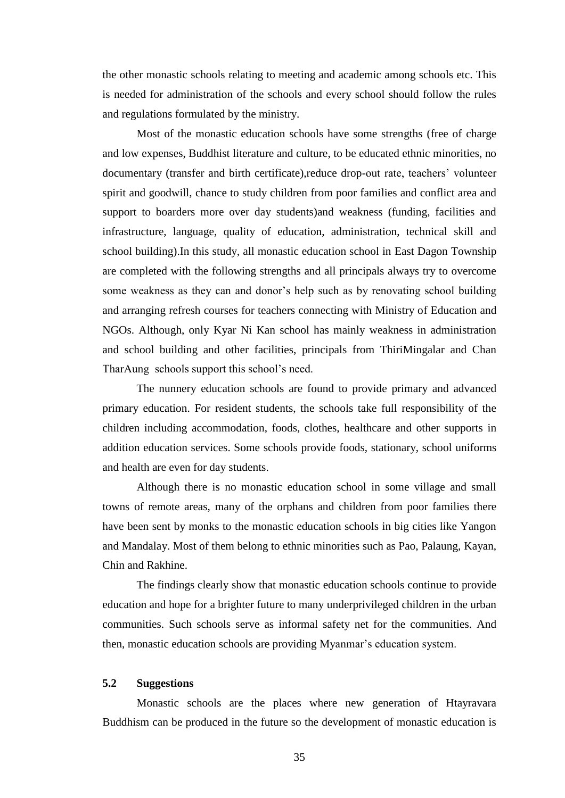the other monastic schools relating to meeting and academic among schools etc. This is needed for administration of the schools and every school should follow the rules and regulations formulated by the ministry.

Most of the monastic education schools have some strengths (free of charge and low expenses, Buddhist literature and culture, to be educated ethnic minorities, no documentary (transfer and birth certificate),reduce drop-out rate, teachers" volunteer spirit and goodwill, chance to study children from poor families and conflict area and support to boarders more over day students)and weakness (funding, facilities and infrastructure, language, quality of education, administration, technical skill and school building).In this study, all monastic education school in East Dagon Township are completed with the following strengths and all principals always try to overcome some weakness as they can and donor's help such as by renovating school building and arranging refresh courses for teachers connecting with Ministry of Education and NGOs. Although, only Kyar Ni Kan school has mainly weakness in administration and school building and other facilities, principals from ThiriMingalar and Chan TharAung schools support this school"s need.

The nunnery education schools are found to provide primary and advanced primary education. For resident students, the schools take full responsibility of the children including accommodation, foods, clothes, healthcare and other supports in addition education services. Some schools provide foods, stationary, school uniforms and health are even for day students.

Although there is no monastic education school in some village and small towns of remote areas, many of the orphans and children from poor families there have been sent by monks to the monastic education schools in big cities like Yangon and Mandalay. Most of them belong to ethnic minorities such as Pao, Palaung, Kayan, Chin and Rakhine.

The findings clearly show that monastic education schools continue to provide education and hope for a brighter future to many underprivileged children in the urban communities. Such schools serve as informal safety net for the communities. And then, monastic education schools are providing Myanmar"s education system.

## **5.2 Suggestions**

Monastic schools are the places where new generation of Htayravara Buddhism can be produced in the future so the development of monastic education is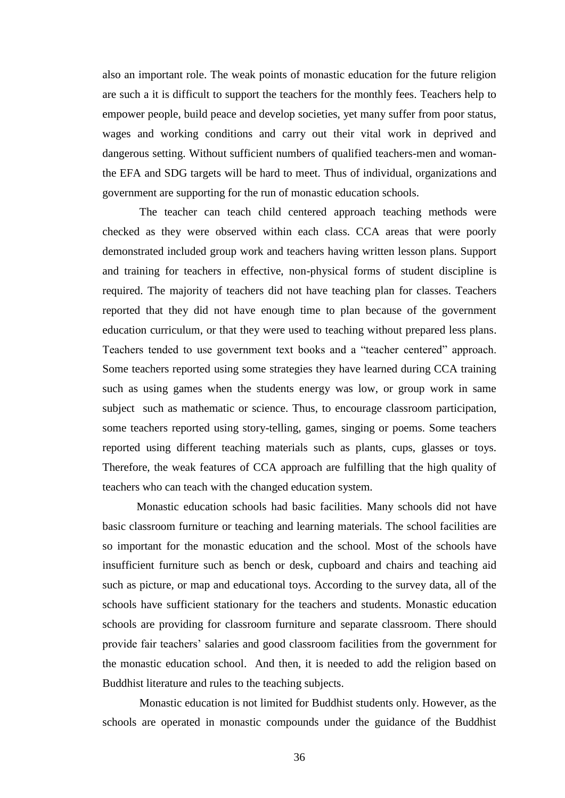also an important role. The weak points of monastic education for the future religion are such a it is difficult to support the teachers for the monthly fees. Teachers help to empower people, build peace and develop societies, yet many suffer from poor status, wages and working conditions and carry out their vital work in deprived and dangerous setting. Without sufficient numbers of qualified teachers-men and womanthe EFA and SDG targets will be hard to meet. Thus of individual, organizations and government are supporting for the run of monastic education schools.

The teacher can teach child centered approach teaching methods were checked as they were observed within each class. CCA areas that were poorly demonstrated included group work and teachers having written lesson plans. Support and training for teachers in effective, non-physical forms of student discipline is required. The majority of teachers did not have teaching plan for classes. Teachers reported that they did not have enough time to plan because of the government education curriculum, or that they were used to teaching without prepared less plans. Teachers tended to use government text books and a "teacher centered" approach. Some teachers reported using some strategies they have learned during CCA training such as using games when the students energy was low, or group work in same subject such as mathematic or science. Thus, to encourage classroom participation, some teachers reported using story-telling, games, singing or poems. Some teachers reported using different teaching materials such as plants, cups, glasses or toys. Therefore, the weak features of CCA approach are fulfilling that the high quality of teachers who can teach with the changed education system.

Monastic education schools had basic facilities. Many schools did not have basic classroom furniture or teaching and learning materials. The school facilities are so important for the monastic education and the school. Most of the schools have insufficient furniture such as bench or desk, cupboard and chairs and teaching aid such as picture, or map and educational toys. According to the survey data, all of the schools have sufficient stationary for the teachers and students. Monastic education schools are providing for classroom furniture and separate classroom. There should provide fair teachers" salaries and good classroom facilities from the government for the monastic education school. And then, it is needed to add the religion based on Buddhist literature and rules to the teaching subjects.

Monastic education is not limited for Buddhist students only. However, as the schools are operated in monastic compounds under the guidance of the Buddhist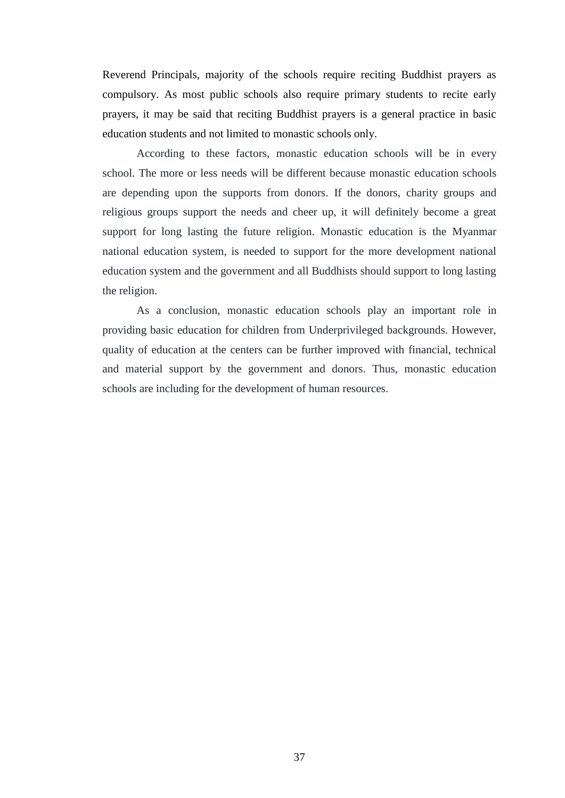Reverend Principals, majority of the schools require reciting Buddhist prayers as compulsory. As most public schools also require primary students to recite early prayers, it may be said that reciting Buddhist prayers is a general practice in basic education students and not limited to monastic schools only.

According to these factors, monastic education schools will be in every school. The more or less needs will be different because monastic education schools are depending upon the supports from donors. If the donors, charity groups and religious groups support the needs and cheer up, it will definitely become a great support for long lasting the future religion. Monastic education is the Myanmar national education system, is needed to support for the more development national education system and the government and all Buddhists should support to long lasting the religion.

As a conclusion, monastic education schools play an important role in providing basic education for children from Underprivileged backgrounds. However, quality of education at the centers can be further improved with financial, technical and material support by the government and donors. Thus, monastic education schools are including for the development of human resources.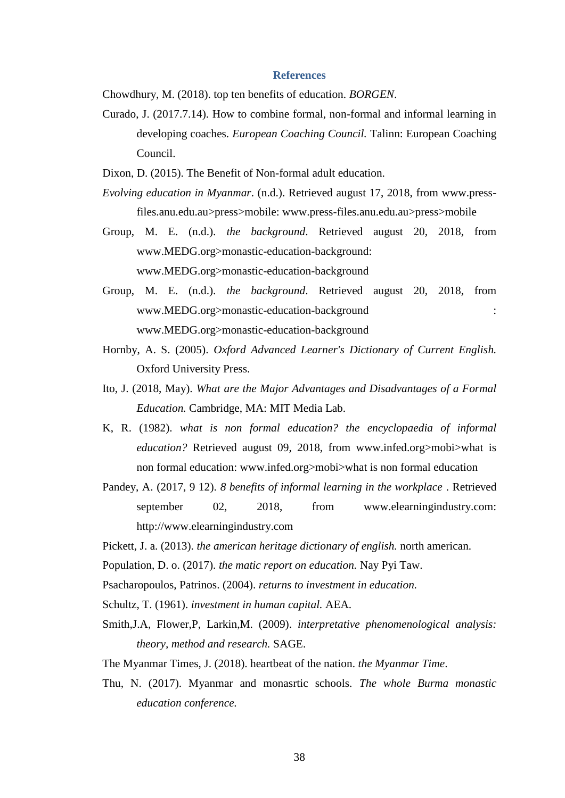#### **References**

Chowdhury, M. (2018). top ten benefits of education. *BORGEN*.

- Curado, J. (2017.7.14). How to combine formal, non-formal and informal learning in developing coaches. *European Coaching Council.* Talinn: European Coaching Council.
- Dixon, D. (2015). The Benefit of Non-formal adult education.
- *Evolving education in Myanmar*. (n.d.). Retrieved august 17, 2018, from www.pressfiles.anu.edu.au>press>mobile: www.press-files.anu.edu.au>press>mobile
- Group, M. E. (n.d.). *the background*. Retrieved august 20, 2018, from www.MEDG.org>monastic-education-background: www.MEDG.org>monastic-education-background
- Group, M. E. (n.d.). *the background*. Retrieved august 20, 2018, from www.MEDG.org>monastic-education-background : www.MEDG.org>monastic-education-background
- Hornby, A. S. (2005). *Oxford Advanced Learner's Dictionary of Current English.* Oxford University Press.
- Ito, J. (2018, May). *What are the Major Advantages and Disadvantages of a Formal Education.* Cambridge, MA: MIT Media Lab.
- K, R. (1982). *what is non formal education? the encyclopaedia of informal education?* Retrieved august 09, 2018, from www.infed.org>mobi>what is non formal education: www.infed.org>mobi>what is non formal education
- Pandey, A. (2017, 9 12). *8 benefits of informal learning in the workplace* . Retrieved september 02, 2018, from www.elearningindustry.com: http://www.elearningindustry.com
- Pickett, J. a. (2013). *the american heritage dictionary of english.* north american.
- Population, D. o. (2017). *the matic report on education.* Nay Pyi Taw.
- Psacharopoulos, Patrinos. (2004). *returns to investment in education.*
- Schultz, T. (1961). *investment in human capital.* AEA.
- Smith,J.A, Flower,P, Larkin,M. (2009). *interpretative phenomenological analysis: theory, method and research.* SAGE.
- The Myanmar Times, J. (2018). heartbeat of the nation. *the Myanmar Time*.
- Thu, N. (2017). Myanmar and monasrtic schools. *The whole Burma monastic education conference.*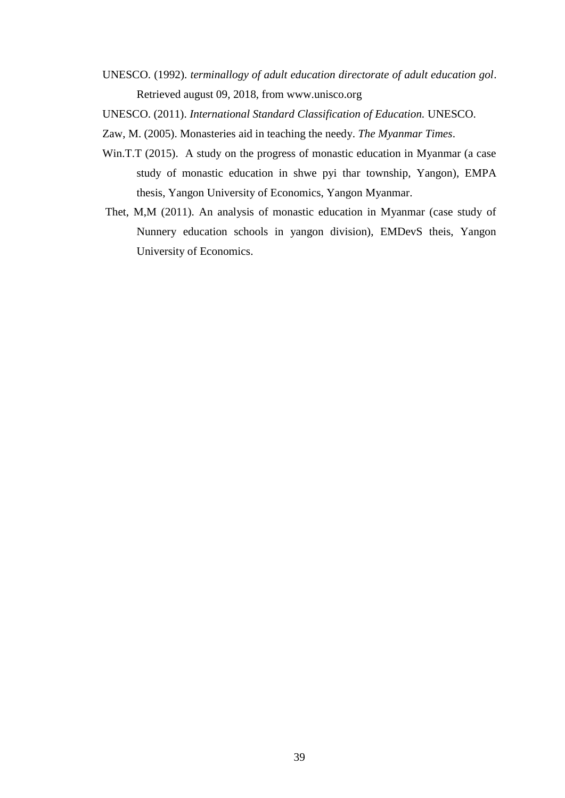- UNESCO. (1992). *terminallogy of adult education directorate of adult education gol*. Retrieved august 09, 2018, from www.unisco.org
- UNESCO. (2011). *International Standard Classification of Education.* UNESCO.
- Zaw, M. (2005). Monasteries aid in teaching the needy. *The Myanmar Times*.
- Win.T.T (2015). A study on the progress of monastic education in Myanmar (a case study of monastic education in shwe pyi thar township, Yangon), EMPA thesis, Yangon University of Economics, Yangon Myanmar.
- Thet, M,M (2011). An analysis of monastic education in Myanmar (case study of Nunnery education schools in yangon division), EMDevS theis, Yangon University of Economics.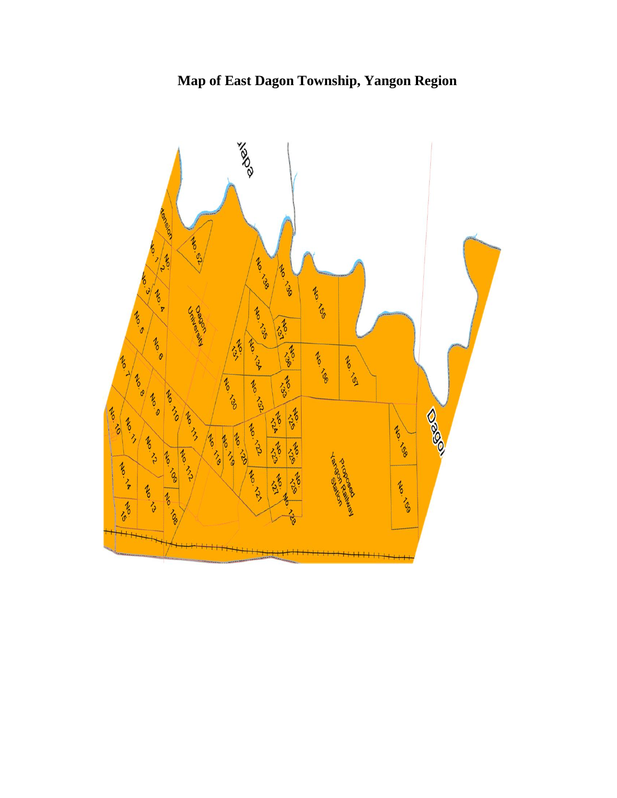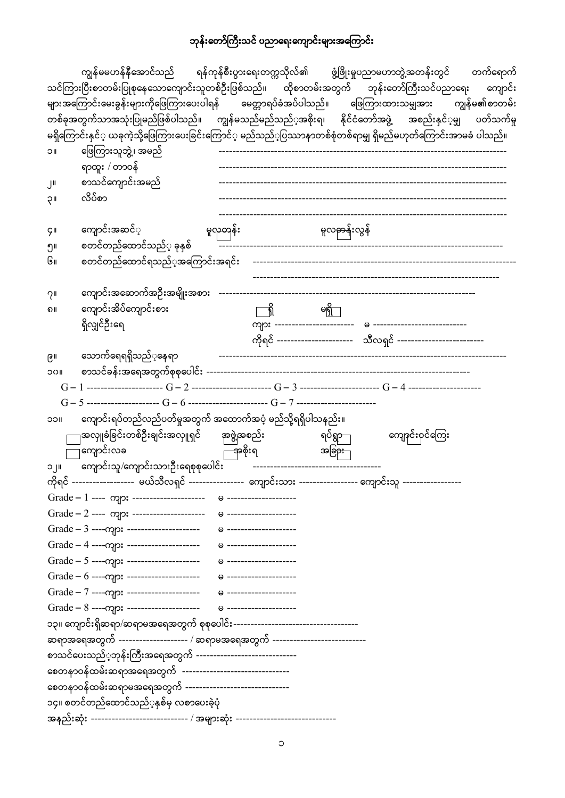# ဘုန်းတော်ကြီးသင် ပညာရေးကျောင်းများအကြောင်း

|                 |                                                                                                                |                                | ကျွန်မမဟန်နီအောင်သည် ရန်ကုန်စီးပွားရေးတက္ကသိုလ်၏ ဖွံ့ဖြိုးမှုပညာမဟာဘွဲ့အတန်းတွင် တက်ရောက်                    |  |
|-----------------|----------------------------------------------------------------------------------------------------------------|--------------------------------|--------------------------------------------------------------------------------------------------------------|--|
|                 |                                                                                                                |                                | သင်ကြားပြီးစာတမ်းပြုစုနေသောကျောင်းသူတစ်ဦးဖြစ်သည်။ ထိုစာတမ်းအတွက် ဘုန်းတော်ကြီးသင်ပညာရေး ကျောင်း              |  |
|                 |                                                                                                                |                                | များအကြောင်းမေးခွန်းများကိုဖြေကြားပေးပါရန် မေတ္တာရပ်ခံအပ်ပါသည်။ ဖြေကြားထားသမျှအား ကျွန်မ၏စာတမ်း              |  |
|                 |                                                                                                                |                                | တစ်ခုအတွက်သာအသုံးပြုမည်ဖြစ်ပါသည်။ ကျွန်မသည်မည်သည်္အအစိုးရ၊ နိုင်ငံတော်အဖွဲ့ အစည်းနှင်္မမျှ ပတ်သက်မှု         |  |
|                 |                                                                                                                |                                | မရှိကြောင်းနှင်္ ယခုကဲ့သို့ဖြေကြားပေးခြင်းကြောင်္ မည်သည့်ပြဿာနာတစ်စုံတစ်ရာမျှ ရှိမည်မဟုတ်ကြောင်းအာမခံ ပါသည်။ |  |
| <b>IIC</b>      | ဖြေကြားသူဘွဲ့၊ အမည်                                                                                            |                                |                                                                                                              |  |
|                 | ရာထူး / တာဝန်                                                                                                  |                                |                                                                                                              |  |
| $J^{\parallel}$ | စာသင်ကျောင်းအမည်                                                                                               |                                |                                                                                                              |  |
| 1IÇ             | လိပ်စာ                                                                                                         |                                |                                                                                                              |  |
| <b>ÇII</b>      | ကျောင်းအဆင်္                                                                                                   |                                |                                                                                                              |  |
| ၅။              | စတင်တည်ထောင်သည်္ ခုနှစ်                                                                                        |                                |                                                                                                              |  |
| Gıı             |                                                                                                                |                                |                                                                                                              |  |
| $2^{\prime}$    |                                                                                                                |                                |                                                                                                              |  |
| ၈။              | ကျောင်းအိပ်ကျောင်းစား                                                                                          | $\frac{2}{\pi}$                |                                                                                                              |  |
|                 | ရှိလျှင်ဦးရေ                                                                                                   |                                |                                                                                                              |  |
|                 |                                                                                                                |                                | ကိုရင် ---------------------- သီလရှင် -------------------------                                              |  |
| ၉။              | သောက်ရေရရှိသည်ံ့နေရာ                                                                                           |                                |                                                                                                              |  |
| <b>IIOC</b>     |                                                                                                                |                                |                                                                                                              |  |
|                 |                                                                                                                |                                |                                                                                                              |  |
|                 | $G-5$ --------------------- $G-6$ ----------------------- $G-7$ -----------------------                        |                                |                                                                                                              |  |
| <b>IICC</b>     | ကျောင်းရပ်တည်လည်ပတ်မှုအတွက် အထောက်အပံ့ မည်သို့ရရှိပါသနည်း။                                                     |                                |                                                                                                              |  |
|                 | —အလှူခံခြင်းတစ်ဦးချင်းအလှူရှင် <del>အဖ</del> ွဲ့အစည်း   ရပ်ရွာ—                                                |                                | ကျော <del>ုင်း</del> စုင်ကြေး                                                                                |  |
|                 | ြကျောင်းလခ<br><u>ော</u> ာစိုးရ အခြား                                                                           |                                |                                                                                                              |  |
| $  \cdot  $     | ကျောင်းသူ/ကျောင်းသားဦးရေစုစုပေါင်း                                                                             | ------------------------------ |                                                                                                              |  |
|                 | ကိုရင် ------------------ မယ်သီလရှင် ---------------- ကျောင်းသား ----------------- ကျောင်းသူ ----------------- |                                |                                                                                                              |  |
|                 |                                                                                                                |                                |                                                                                                              |  |
|                 |                                                                                                                |                                |                                                                                                              |  |
|                 |                                                                                                                |                                |                                                                                                              |  |
|                 |                                                                                                                |                                |                                                                                                              |  |
|                 |                                                                                                                |                                |                                                                                                              |  |
|                 |                                                                                                                |                                |                                                                                                              |  |
|                 | Grade - 7 ----- mp: --------------------                                                                       | → --------------------         |                                                                                                              |  |
|                 |                                                                                                                |                                |                                                                                                              |  |
|                 |                                                                                                                |                                |                                                                                                              |  |
|                 | ဆရာအရေအတွက် -------------------- / ဆရာမအရေအတွက် ---------------------------                                    |                                |                                                                                                              |  |
|                 | စာသင်ပေးသည်္ာကုန်းကြီးအရေအတွက် ------------------------------                                                  |                                |                                                                                                              |  |
|                 | စေတနာဝန်ထမ်းဆရာအရေအတွက် --------------------------------                                                       |                                |                                                                                                              |  |
|                 | စေတနာဝန်ထမ်းဆရာမအရေအတွက် -------------------------------                                                       |                                |                                                                                                              |  |
|                 | ၁၄။ စတင်တည်ထောင်သည်ံ့နှစ်မှ လစာပေးခဲ့ပုံ                                                                       |                                |                                                                                                              |  |
|                 | အနည်းဆုံး ---------------------------- / အများဆုံး --------------------------                                  |                                |                                                                                                              |  |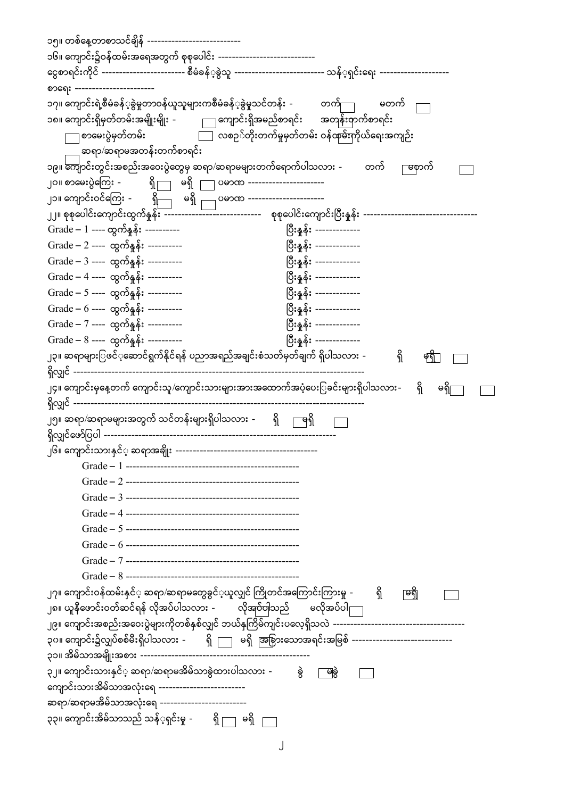| ၁၅။ တစ်နေ့တာစာသင်ချိန် ---------------------------                                                                  |                                  |
|---------------------------------------------------------------------------------------------------------------------|----------------------------------|
| ၁၆။ ကျောင်း၌ဝန်ထမ်းအရေအတွက် စုစုပေါင်း -----------------------------                                                |                                  |
| ၚေစာရင်းကိုင် ------------------------ စီမံခန်္ခနွဲသူ --------------------------- သန်္ရရှင်းရေး ------------------- |                                  |
| စာရေး -----------------------                                                                                       |                                  |
| ၁၇။ ကျောင်းရဲ့စီမံခန့်ခွဲမှုတာဝန်ယူသူများကစီမံခန့်ခွဲမှုသင်တန်း -           တက် $\hspace{1cm}$                      | မတက်                             |
| — ကျောင်းရှိအမည်စာရင်း အတ <del>ုန်း</del> စှာက်စာရင်း<br>၁၈။ ကျောင်းရှိမှတ်တမ်းအမျိုးမျိုး -                        |                                  |
| ြ လစဉ <b>်တိုးတက်မှုမှတ်တမ်း ဝန်ထု</b> မ်းကိုယ်ရေးအကျဉ်း<br>ှစာမေးပွဲမှတ်တမ်း <sub>−</sub>                          |                                  |
| ဆရာ/ဆရာမအတန်းတက်စာရင်း                                                                                              |                                  |
| ၁၉။ ကျောင်းတွင်းအစည်းအဝေးပွဲတွေမှ ဆရာ/ဆရာမများတက်ရောက်ပါသလား -         တက်                                          | မြာက်                            |
| ၂၀။ စာမေးပွဲကြေး -         ရှို တရှိ ၂<br>06000 ----------------------                                              |                                  |
|                                                                                                                     |                                  |
|                                                                                                                     |                                  |
| Grade – 1 ---- ထွက်နူနိ $:$ ----------                                                                              | ပြီးနူနိုး -------------         |
| Grade – 2 ---- ထွက်နှုန်း ----------                                                                                | ပြီးနူနိ <b>း</b> -------------- |
| Grade – 3 ---- ထွက်နူန်း ----------                                                                                 | ပြီးနူန်း --------------         |
| Grade – 4 ---- ထွက်နူန်း ----------                                                                                 | ပြီးနူနိုး -------------         |
| Grade – 5 ---- ထွက်နူနိ $:$ ----------                                                                              | ပြီးနူနိ <b>း</b> -------------- |
| Grade – $6$ ---- ထွက်နှုန်း ----------                                                                              | ပြီးနှုန်း -------------         |
| Grade – 7 ---- ထွက်နူနိုး ----------                                                                                | ပြီးနူနိုး -------------         |
| Grade – $8$ ---- ထွက်နူနိုး ----------                                                                              | ပြီးနှန်း -------------          |
| ၂၃။ ဆရာများြဖင်ံ့ဆောင်ရွက်နိုင်ရန် ပညာအရည်အချင်းစံသတ်မှတ်ချက် ရှိပါသလား -                                           | ရှိ<br>$\widetilde{\phi_0}$      |
| ရှိလျှင် --------------------------                                                                                 |                                  |
| ၂၄။ ကျောင်းမှနေ့တက် ကျောင်းသူ/ကျောင်းသားများအားအထောက်အပံ့ပေးြခင်းများရှိပါသလား-                                     | ရှိ<br>မရှိ                      |
|                                                                                                                     |                                  |
| ၂၅။ ဆရာ/ဆရာမများအတွက် သင်တန်းများရှိပါသလား <i>-</i><br>ၛရှိ<br>ရှိ                                                  |                                  |
| ရှိလျှင်ဖော်ပြပါ ------------------                                                                                 |                                  |
|                                                                                                                     |                                  |
|                                                                                                                     |                                  |
|                                                                                                                     |                                  |
|                                                                                                                     |                                  |
|                                                                                                                     |                                  |
|                                                                                                                     |                                  |
|                                                                                                                     |                                  |
|                                                                                                                     |                                  |
|                                                                                                                     |                                  |
| ၂၇။ ကျောင်းဝန်ထမ်းနှင်္ ဆရာ/ဆရာမတွေခွင်္ပယူလျှင် ကြိုတင်အကြောင်းကြားမှု -                                           | ရှိ<br>ုမရှိ                     |
| ၂၈။ ယူနီဖောင်းဝတ်ဆင်ရန် လိုအပ်ပါသလား -         လိုအုပ်ပါသည်       မလိုအပ်ပါ $\lceil \rceil$                         |                                  |
|                                                                                                                     |                                  |
| ၃၀။ ကျောင်း၌လျှပ်စစ်မီးရှိပါသလား -       ရှိ ကြ   မရှိ   အြန္မားသောအရင်းအမြစ် -------------------------------       |                                  |
|                                                                                                                     |                                  |
| ၃၂။ ကျောင်းသားနှင်္ ဆရာ/ဆရာမအိမ်သာခွဲထားပါသလား  -<br>ခွဲ                                                            | မြခွဲ                            |
| ကျောင်းသားအိမ်သာအလုံးရေ -------------------------                                                                   |                                  |
| ဆရာ/ဆရာမအိမ်သာအလုံးရေ -------------------------                                                                     |                                  |
| ၃၃။ ကျောင်းအိမ်သာသည် သန့်ရှင်းမှု - စြ ရှို ဖရှိ                                                                    |                                  |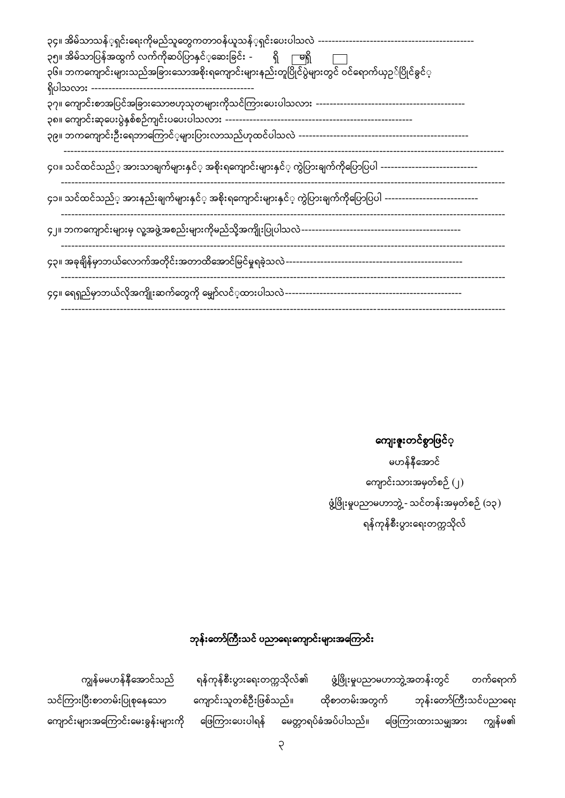<mark>ကျေးဇူး</mark>တင်စွာဖြင်**့** 

မဟန်နီအောင် ကျောင်းသားအမှတ်စဉ် (၂) ဖွံ့ဖြိုးမှုပညာမဟာဘွဲ့ - သင်တန်းအမှတ်စဉ် (၁၃) ရန်ကုန်စီးပွားရေးတက္ကသိုလ်

## ဘုန်းတော်ကြီးသင် ပညာရေးကျောင်းများအကြောင်း

ဖွံ့ဖြိုးမှုပညာမဟာဘွဲ့အတန်းတွင် ကျွန်မမဟန်နီအောင်သည် ရန်ကုန်စီးပွားရေးတက္ကသိုလ်၏ တက်ရောက် သင်ကြားပြီးစာတမ်းပြုစုနေသော ကျောင်းသူတစ်ဦးဖြစ်သည်။ ထိုစာတမ်းအတွက် ဘုန်းတော်ကြီးသင်ပညာရေး ဖြေကြားပေးပါရန် မေတ္တာရပ်ခံအပ်ပါသည်။ ဖြေကြားထားသမျှအား ကျွန်မ၏ ကျောင်းများအကြောင်းမေးခွန်းများကို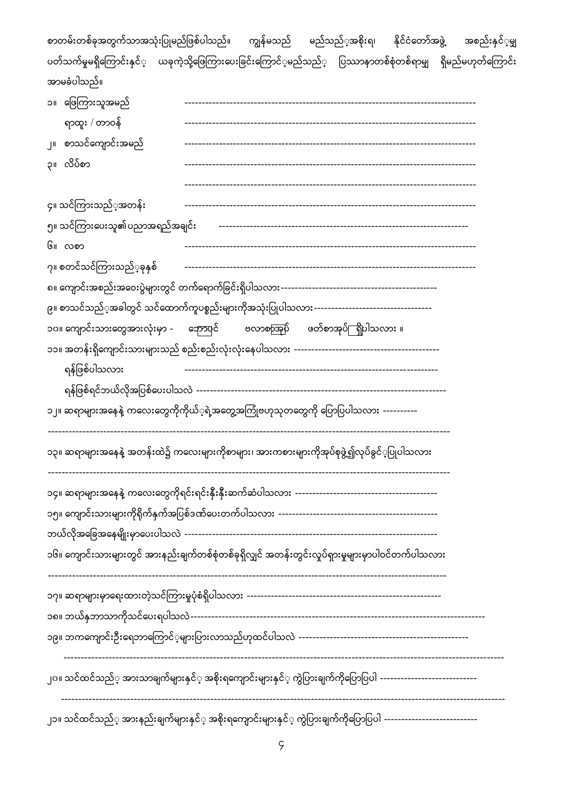| စာတမ်းတစ်ခုအတွက်သာအသုံးပြုမည်ဖြစ်ပါသည်။ ကျွန်မသည် မည်သည့်အစိုးရ၊ နိုင်ငံတော်အဖွဲ့<br>အစည်းနှင်္မမျှ            |  |  |  |  |  |  |  |
|----------------------------------------------------------------------------------------------------------------|--|--|--|--|--|--|--|
| ပတ်သက်မှုမရှိကြောင်းနှင်္ ယခုကဲ့သို့ဖြေကြားပေးခြင်းကြောင်ံ့မည်သည်္ ပြဿာနာတစ်စုံတစ်ရာမျှ ရှိမည်မဟုတ်ကြောင်း     |  |  |  |  |  |  |  |
| အာမခံပါသည်။                                                                                                    |  |  |  |  |  |  |  |
| ၁။ ဖြေကြားသူအမည်<br>---------------------------------                                                          |  |  |  |  |  |  |  |
| ရာထူး / တာဝန်                                                                                                  |  |  |  |  |  |  |  |
| ၂။ စာသင်ကျောင်းအမည်                                                                                            |  |  |  |  |  |  |  |
| ၃။ လိပ်စာ                                                                                                      |  |  |  |  |  |  |  |
|                                                                                                                |  |  |  |  |  |  |  |
| ၄။ သင်ကြားသည်္အအတန်း                                                                                           |  |  |  |  |  |  |  |
| ၅။ သင်ကြားပေးသူ၏ပညာအရည်အချင်း                                                                                  |  |  |  |  |  |  |  |
| ၆။ လစာ                                                                                                         |  |  |  |  |  |  |  |
| ၇။ စတင်သင်ကြားသည် <b>့</b> ခုနှစ်                                                                              |  |  |  |  |  |  |  |
|                                                                                                                |  |  |  |  |  |  |  |
|                                                                                                                |  |  |  |  |  |  |  |
| ၁၀။ ကျောင်းသားတွေအားလုံးမှာ -       ကောပုင်<br>ဗလာစာအုပ်ိ ဖတ်စာအုပ်ြ ရှိပါသလား ။                               |  |  |  |  |  |  |  |
|                                                                                                                |  |  |  |  |  |  |  |
| ရန်ဖြစ်ပါသလား                                                                                                  |  |  |  |  |  |  |  |
|                                                                                                                |  |  |  |  |  |  |  |
| ၁၂။ ဆရာများအနေနဲ့ ကလေးတွေကိုကိုယ့်ရဲ့အတွေ့အကြုံဗဟုသုတတွေကို ပြောပြပါသလား ----------                            |  |  |  |  |  |  |  |
| ၁၃။ ဆရာများအနေနဲ့ အတန်းထဲ၌ ကလေးများကိုစာများ၊ အားကစားများကိုအုပ်စုဖွဲ့၍လုပ်ခွင့်ပြုပါသလား                      |  |  |  |  |  |  |  |
|                                                                                                                |  |  |  |  |  |  |  |
|                                                                                                                |  |  |  |  |  |  |  |
|                                                                                                                |  |  |  |  |  |  |  |
| ၁၆။ ကျောင်းသားများတွင် အားနည်းချက်တစ်စုံတစ်ခုရှိလျှင် အတန်းတွင်းလှုပ်ရှားမှုများမှာပါဝင်တက်ပါသလား              |  |  |  |  |  |  |  |
|                                                                                                                |  |  |  |  |  |  |  |
|                                                                                                                |  |  |  |  |  |  |  |
|                                                                                                                |  |  |  |  |  |  |  |
| ၂၀။ သင်ထင်သည်္ အားသာချက်များနှင်္ အစိုးရကျောင်းများနှင်္ ကွဲပြားချက်ကိုပြောပြပါ ------------------------------ |  |  |  |  |  |  |  |
| ၂၁။ သင်ထင်သည်္ အားနည်းချက်များနှင်္ အစိုးရကျောင်းများနှင်္ ကွဲပြားချက်ကိုပြောပြပါ ---------------------------- |  |  |  |  |  |  |  |